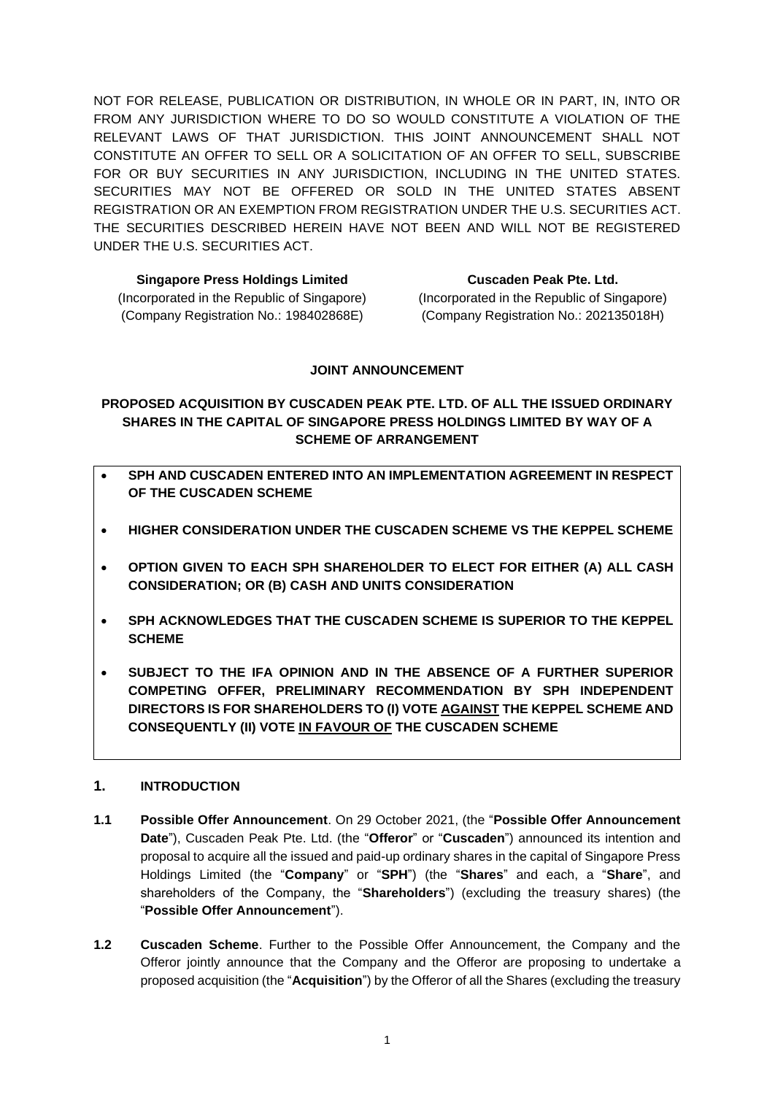NOT FOR RELEASE, PUBLICATION OR DISTRIBUTION, IN WHOLE OR IN PART, IN, INTO OR FROM ANY JURISDICTION WHERE TO DO SO WOULD CONSTITUTE A VIOLATION OF THE RELEVANT LAWS OF THAT JURISDICTION. THIS JOINT ANNOUNCEMENT SHALL NOT CONSTITUTE AN OFFER TO SELL OR A SOLICITATION OF AN OFFER TO SELL, SUBSCRIBE FOR OR BUY SECURITIES IN ANY JURISDICTION, INCLUDING IN THE UNITED STATES. SECURITIES MAY NOT BE OFFERED OR SOLD IN THE UNITED STATES ABSENT REGISTRATION OR AN EXEMPTION FROM REGISTRATION UNDER THE U.S. SECURITIES ACT. THE SECURITIES DESCRIBED HEREIN HAVE NOT BEEN AND WILL NOT BE REGISTERED UNDER THE U.S. SECURITIES ACT.

| <b>Singapore Press Holdings Limited</b>     |
|---------------------------------------------|
| (Incorporated in the Republic of Singapore) |
| (Company Registration No.: 198402868E)      |

**Cuscaden Peak Pte. Ltd.** (Incorporated in the Republic of Singapore) (Company Registration No.: 202135018H)

## **JOINT ANNOUNCEMENT**

**PROPOSED ACQUISITION BY CUSCADEN PEAK PTE. LTD. OF ALL THE ISSUED ORDINARY SHARES IN THE CAPITAL OF SINGAPORE PRESS HOLDINGS LIMITED BY WAY OF A SCHEME OF ARRANGEMENT**

- **SPH AND CUSCADEN ENTERED INTO AN IMPLEMENTATION AGREEMENT IN RESPECT OF THE CUSCADEN SCHEME**
- **HIGHER CONSIDERATION UNDER THE CUSCADEN SCHEME VS THE KEPPEL SCHEME**
- **OPTION GIVEN TO EACH SPH SHAREHOLDER TO ELECT FOR EITHER (A) ALL CASH CONSIDERATION; OR (B) CASH AND UNITS CONSIDERATION**
- **SPH ACKNOWLEDGES THAT THE CUSCADEN SCHEME IS SUPERIOR TO THE KEPPEL SCHEME**
- **SUBJECT TO THE IFA OPINION AND IN THE ABSENCE OF A FURTHER SUPERIOR COMPETING OFFER, PRELIMINARY RECOMMENDATION BY SPH INDEPENDENT DIRECTORS IS FOR SHAREHOLDERS TO (I) VOTE AGAINST THE KEPPEL SCHEME AND CONSEQUENTLY (II) VOTE IN FAVOUR OF THE CUSCADEN SCHEME**

### **1. INTRODUCTION**

- **1.1 Possible Offer Announcement**. On 29 October 2021, (the "**Possible Offer Announcement Date**"), Cuscaden Peak Pte. Ltd. (the "**Offeror**" or "**Cuscaden**") announced its intention and proposal to acquire all the issued and paid-up ordinary shares in the capital of Singapore Press Holdings Limited (the "**Company**" or "**SPH**") (the "**Shares**" and each, a "**Share**", and shareholders of the Company, the "**Shareholders**") (excluding the treasury shares) (the "**Possible Offer Announcement**").
- **1.2 Cuscaden Scheme**. Further to the Possible Offer Announcement, the Company and the Offeror jointly announce that the Company and the Offeror are proposing to undertake a proposed acquisition (the "**Acquisition**") by the Offeror of all the Shares (excluding the treasury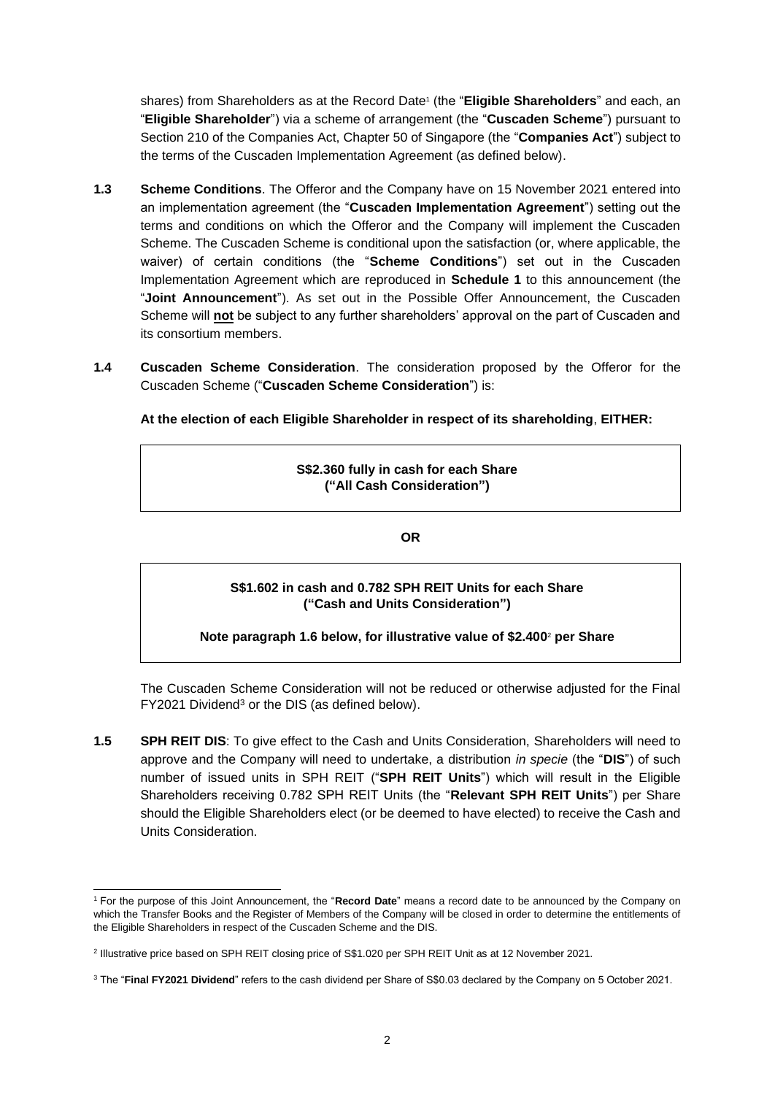shares) from Shareholders as at the Record Date<sup>1</sup> (the "**Eligible Shareholders**" and each, an "**Eligible Shareholder**") via a scheme of arrangement (the "**Cuscaden Scheme**") pursuant to Section 210 of the Companies Act, Chapter 50 of Singapore (the "**Companies Act**") subject to the terms of the Cuscaden Implementation Agreement (as defined below).

- **1.3 Scheme Conditions**. The Offeror and the Company have on 15 November 2021 entered into an implementation agreement (the "**Cuscaden Implementation Agreement**") setting out the terms and conditions on which the Offeror and the Company will implement the Cuscaden Scheme. The Cuscaden Scheme is conditional upon the satisfaction (or, where applicable, the waiver) of certain conditions (the "**Scheme Conditions**") set out in the Cuscaden Implementation Agreement which are reproduced in **Schedule 1** to this announcement (the "**Joint Announcement**"). As set out in the Possible Offer Announcement, the Cuscaden Scheme will **not** be subject to any further shareholders' approval on the part of Cuscaden and its consortium members.
- **1.4 Cuscaden Scheme Consideration**. The consideration proposed by the Offeror for the Cuscaden Scheme ("**Cuscaden Scheme Consideration**") is:

**At the election of each Eligible Shareholder in respect of its shareholding**, **EITHER:**

## **S\$2.360 fully in cash for each Share ("All Cash Consideration")**

**OR**

## **S\$1.602 in cash and 0.782 SPH REIT Units for each Share ("Cash and Units Consideration")**

### **Note paragraph [1.6](#page-2-0) below, for illustrative value of \$2.400** <sup>2</sup> **per Share**

The Cuscaden Scheme Consideration will not be reduced or otherwise adjusted for the Final FY2021 Dividend<sup>3</sup> or the DIS (as defined below).

**1.5 SPH REIT DIS**: To give effect to the Cash and Units Consideration, Shareholders will need to approve and the Company will need to undertake, a distribution *in specie* (the "**DIS**") of such number of issued units in SPH REIT ("**SPH REIT Units**") which will result in the Eligible Shareholders receiving 0.782 SPH REIT Units (the "**Relevant SPH REIT Units**") per Share should the Eligible Shareholders elect (or be deemed to have elected) to receive the Cash and Units Consideration.

<sup>1</sup> For the purpose of this Joint Announcement, the "**Record Date**" means a record date to be announced by the Company on which the Transfer Books and the Register of Members of the Company will be closed in order to determine the entitlements of the Eligible Shareholders in respect of the Cuscaden Scheme and the DIS.

<sup>2</sup> Illustrative price based on SPH REIT closing price of S\$1.020 per SPH REIT Unit as at 12 November 2021.

<sup>3</sup> The "**Final FY2021 Dividend**" refers to the cash dividend per Share of S\$0.03 declared by the Company on 5 October 2021.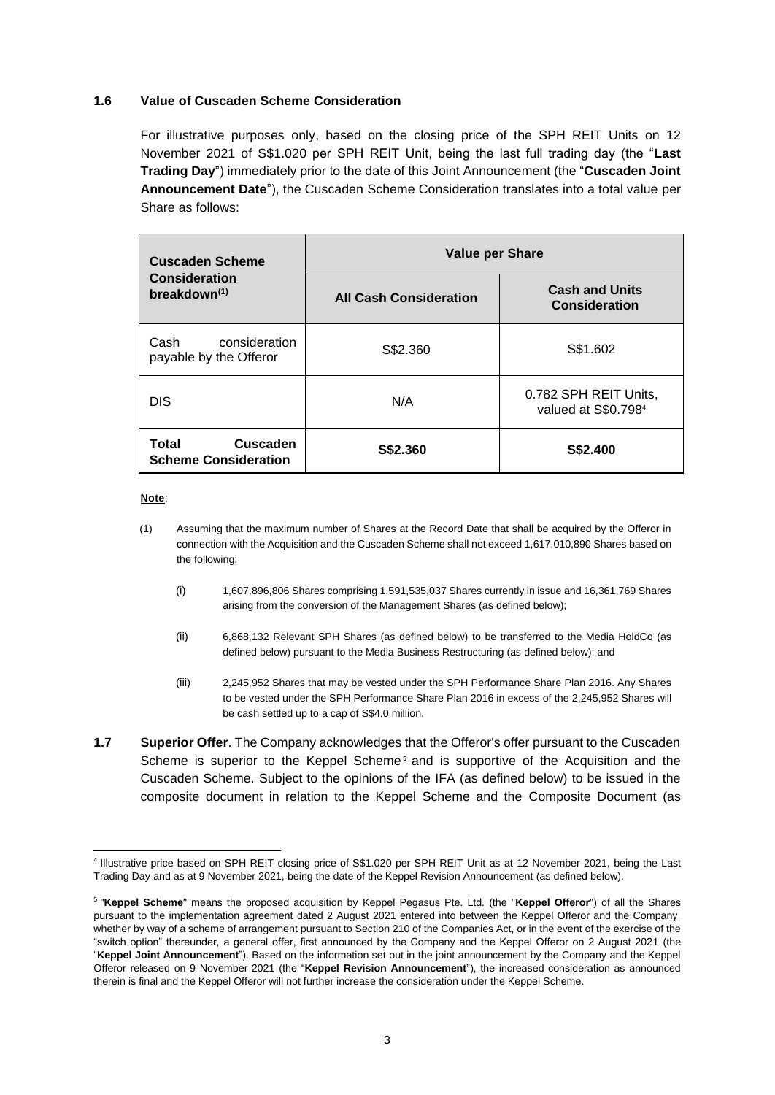#### <span id="page-2-0"></span>**1.6 Value of Cuscaden Scheme Consideration**

For illustrative purposes only, based on the closing price of the SPH REIT Units on 12 November 2021 of S\$1.020 per SPH REIT Unit, being the last full trading day (the "**Last Trading Day**") immediately prior to the date of this Joint Announcement (the "**Cuscaden Joint Announcement Date**"), the Cuscaden Scheme Consideration translates into a total value per Share as follows:

| <b>Cuscaden Scheme</b>                                  | <b>Value per Share</b>        |                                                          |  |  |
|---------------------------------------------------------|-------------------------------|----------------------------------------------------------|--|--|
| <b>Consideration</b><br>breakdown <sup>(1)</sup>        | <b>All Cash Consideration</b> | <b>Cash and Units</b><br><b>Consideration</b>            |  |  |
| consideration<br>Cash<br>payable by the Offeror         | S\$2.360                      | S\$1.602                                                 |  |  |
| <b>DIS</b>                                              | N/A                           | 0.782 SPH REIT Units,<br>valued at S\$0.798 <sup>4</sup> |  |  |
| <b>Cuscaden</b><br>Total<br><b>Scheme Consideration</b> | S\$2.360                      | S\$2.400                                                 |  |  |

#### **Note**:

- (1) Assuming that the maximum number of Shares at the Record Date that shall be acquired by the Offeror in connection with the Acquisition and the Cuscaden Scheme shall not exceed 1,617,010,890 Shares based on the following:
	- (i) 1,607,896,806 Shares comprising 1,591,535,037 Shares currently in issue and 16,361,769 Shares arising from the conversion of the Management Shares (as defined below);
	- (ii) 6,868,132 Relevant SPH Shares (as defined below) to be transferred to the Media HoldCo (as defined below) pursuant to the Media Business Restructuring (as defined below); and
	- (iii) 2,245,952 Shares that may be vested under the SPH Performance Share Plan 2016. Any Shares to be vested under the SPH Performance Share Plan 2016 in excess of the 2,245,952 Shares will be cash settled up to a cap of S\$4.0 million.
- **1.7 Superior Offer**. The Company acknowledges that the Offeror's offer pursuant to the Cuscaden Scheme is superior to the Keppel Scheme<sup>5</sup> and is supportive of the Acquisition and the Cuscaden Scheme. Subject to the opinions of the IFA (as defined below) to be issued in the composite document in relation to the Keppel Scheme and the Composite Document (as

<sup>4</sup> Illustrative price based on SPH REIT closing price of S\$1.020 per SPH REIT Unit as at 12 November 2021, being the Last Trading Day and as at 9 November 2021, being the date of the Keppel Revision Announcement (as defined below).

<sup>5</sup> "**Keppel Scheme**" means the proposed acquisition by Keppel Pegasus Pte. Ltd. (the "**Keppel Offeror**") of all the Shares pursuant to the implementation agreement dated 2 August 2021 entered into between the Keppel Offeror and the Company, whether by way of a scheme of arrangement pursuant to Section 210 of the Companies Act, or in the event of the exercise of the "switch option" thereunder, a general offer, first announced by the Company and the Keppel Offeror on 2 August 2021 (the "**Keppel Joint Announcement**"). Based on the information set out in the joint announcement by the Company and the Keppel Offeror released on 9 November 2021 (the "**Keppel Revision Announcement**"), the increased consideration as announced therein is final and the Keppel Offeror will not further increase the consideration under the Keppel Scheme.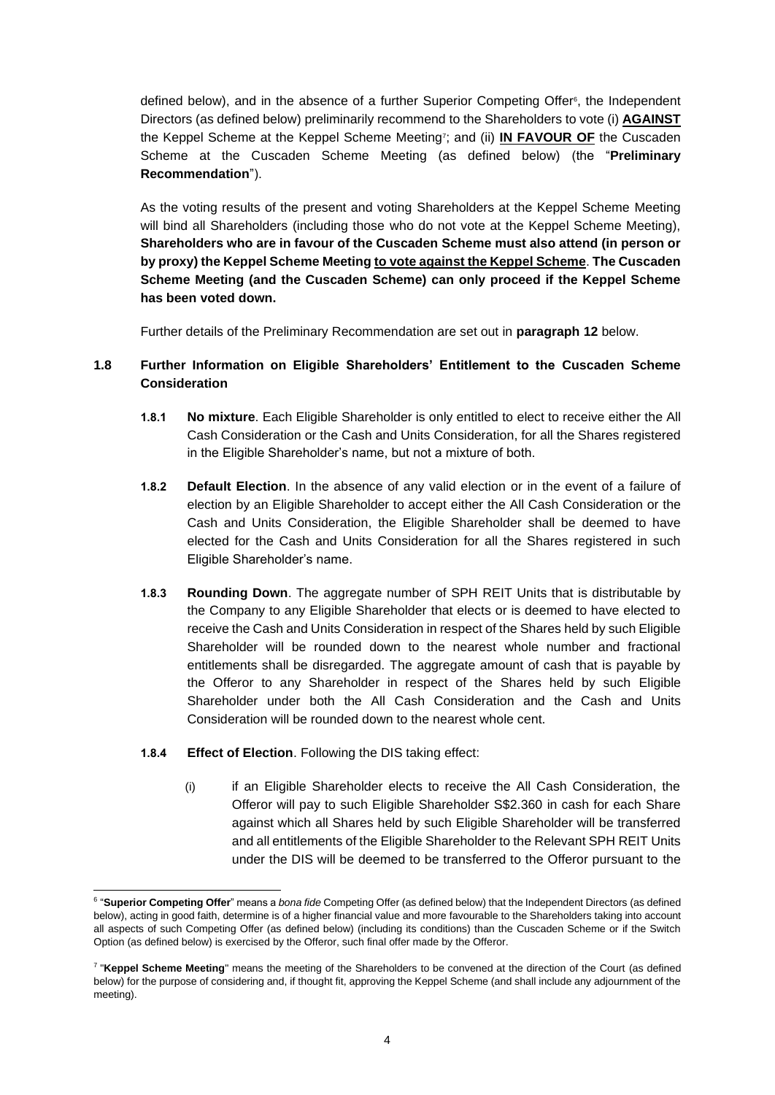defined below), and in the absence of a further Superior Competing Offer<sup>6</sup>, the Independent Directors (as defined below) preliminarily recommend to the Shareholders to vote (i) **AGAINST** the Keppel Scheme at the Keppel Scheme Meeting<sup>7</sup> ; and (ii) **IN FAVOUR OF** the Cuscaden Scheme at the Cuscaden Scheme Meeting (as defined below) (the "**Preliminary Recommendation**").

As the voting results of the present and voting Shareholders at the Keppel Scheme Meeting will bind all Shareholders (including those who do not vote at the Keppel Scheme Meeting), **Shareholders who are in favour of the Cuscaden Scheme must also attend (in person or by proxy) the Keppel Scheme Meeting to vote against the Keppel Scheme**. **The Cuscaden Scheme Meeting (and the Cuscaden Scheme) can only proceed if the Keppel Scheme has been voted down.**

Further details of the Preliminary Recommendation are set out in **paragraph [12](#page-22-0)** below.

## **1.8 Further Information on Eligible Shareholders' Entitlement to the Cuscaden Scheme Consideration**

- **1.8.1 No mixture**. Each Eligible Shareholder is only entitled to elect to receive either the All Cash Consideration or the Cash and Units Consideration, for all the Shares registered in the Eligible Shareholder's name, but not a mixture of both.
- **1.8.2 Default Election**. In the absence of any valid election or in the event of a failure of election by an Eligible Shareholder to accept either the All Cash Consideration or the Cash and Units Consideration, the Eligible Shareholder shall be deemed to have elected for the Cash and Units Consideration for all the Shares registered in such Eligible Shareholder's name.
- **1.8.3 Rounding Down**. The aggregate number of SPH REIT Units that is distributable by the Company to any Eligible Shareholder that elects or is deemed to have elected to receive the Cash and Units Consideration in respect of the Shares held by such Eligible Shareholder will be rounded down to the nearest whole number and fractional entitlements shall be disregarded. The aggregate amount of cash that is payable by the Offeror to any Shareholder in respect of the Shares held by such Eligible Shareholder under both the All Cash Consideration and the Cash and Units Consideration will be rounded down to the nearest whole cent.
- **1.8.4 Effect of Election**. Following the DIS taking effect:
	- (i) if an Eligible Shareholder elects to receive the All Cash Consideration, the Offeror will pay to such Eligible Shareholder S\$2.360 in cash for each Share against which all Shares held by such Eligible Shareholder will be transferred and all entitlements of the Eligible Shareholder to the Relevant SPH REIT Units under the DIS will be deemed to be transferred to the Offeror pursuant to the

<sup>6</sup> "**Superior Competing Offer**" means a *bona fide* Competing Offer (as defined below) that the Independent Directors (as defined below), acting in good faith, determine is of a higher financial value and more favourable to the Shareholders taking into account all aspects of such Competing Offer (as defined below) (including its conditions) than the Cuscaden Scheme or if the Switch Option (as defined below) is exercised by the Offeror, such final offer made by the Offeror.

<sup>&</sup>lt;sup>7</sup> "Keppel Scheme Meeting" means the meeting of the Shareholders to be convened at the direction of the Court (as defined below) for the purpose of considering and, if thought fit, approving the Keppel Scheme (and shall include any adjournment of the meeting).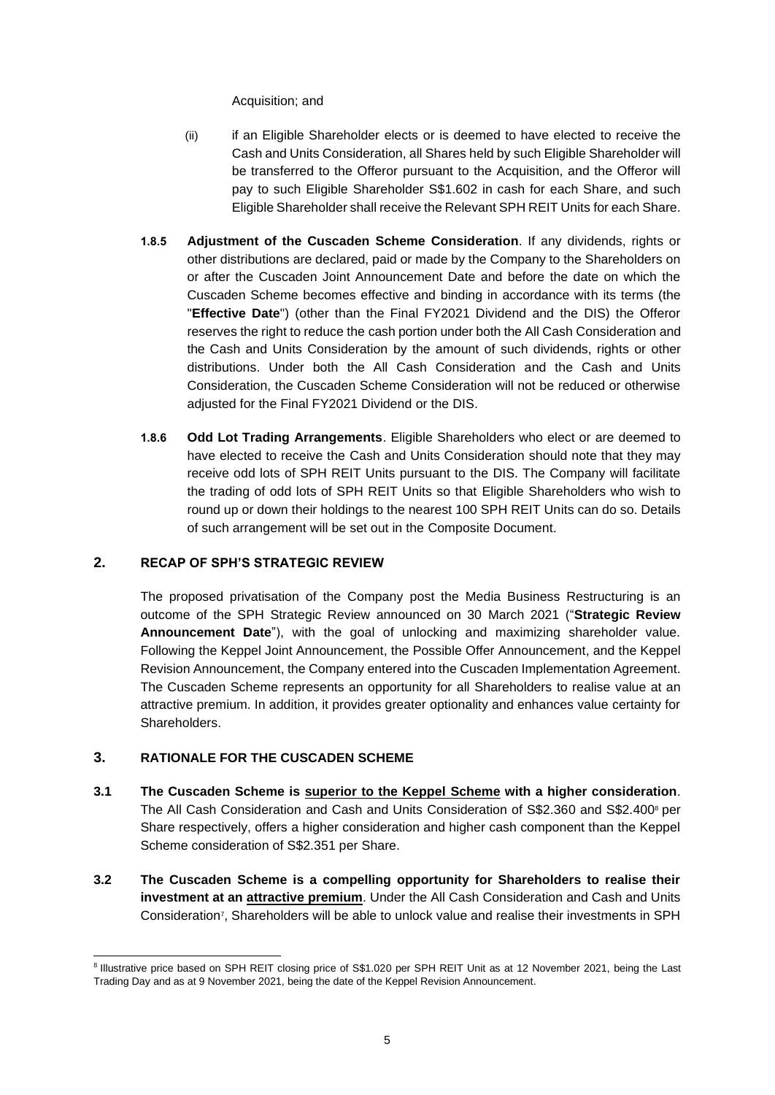Acquisition; and

- (ii) if an Eligible Shareholder elects or is deemed to have elected to receive the Cash and Units Consideration, all Shares held by such Eligible Shareholder will be transferred to the Offeror pursuant to the Acquisition, and the Offeror will pay to such Eligible Shareholder S\$1.602 in cash for each Share, and such Eligible Shareholder shall receive the Relevant SPH REIT Units for each Share.
- **1.8.5 Adjustment of the Cuscaden Scheme Consideration**. If any dividends, rights or other distributions are declared, paid or made by the Company to the Shareholders on or after the Cuscaden Joint Announcement Date and before the date on which the Cuscaden Scheme becomes effective and binding in accordance with its terms (the "**Effective Date**") (other than the Final FY2021 Dividend and the DIS) the Offeror reserves the right to reduce the cash portion under both the All Cash Consideration and the Cash and Units Consideration by the amount of such dividends, rights or other distributions. Under both the All Cash Consideration and the Cash and Units Consideration, the Cuscaden Scheme Consideration will not be reduced or otherwise adjusted for the Final FY2021 Dividend or the DIS.
- **1.8.6 Odd Lot Trading Arrangements**. Eligible Shareholders who elect or are deemed to have elected to receive the Cash and Units Consideration should note that they may receive odd lots of SPH REIT Units pursuant to the DIS. The Company will facilitate the trading of odd lots of SPH REIT Units so that Eligible Shareholders who wish to round up or down their holdings to the nearest 100 SPH REIT Units can do so. Details of such arrangement will be set out in the Composite Document.

### **2. RECAP OF SPH'S STRATEGIC REVIEW**

The proposed privatisation of the Company post the Media Business Restructuring is an outcome of the SPH Strategic Review announced on 30 March 2021 ("**Strategic Review Announcement Date**"), with the goal of unlocking and maximizing shareholder value. Following the Keppel Joint Announcement, the Possible Offer Announcement, and the Keppel Revision Announcement, the Company entered into the Cuscaden Implementation Agreement. The Cuscaden Scheme represents an opportunity for all Shareholders to realise value at an attractive premium. In addition, it provides greater optionality and enhances value certainty for Shareholders.

## **3. RATIONALE FOR THE CUSCADEN SCHEME**

- **3.1 The Cuscaden Scheme is superior to the Keppel Scheme with a higher consideration**. The All Cash Consideration and Cash and Units Consideration of S\$2.360 and S\$2.400 <sup>8</sup> per Share respectively, offers a higher consideration and higher cash component than the Keppel Scheme consideration of S\$2.351 per Share.
- **3.2 The Cuscaden Scheme is a compelling opportunity for Shareholders to realise their investment at an attractive premium**. Under the All Cash Consideration and Cash and Units Consideration<sup>7</sup> , Shareholders will be able to unlock value and realise their investments in SPH

<sup>&</sup>lt;sup>8</sup> Illustrative price based on SPH REIT closing price of S\$1.020 per SPH REIT Unit as at 12 November 2021, being the Last Trading Day and as at 9 November 2021, being the date of the Keppel Revision Announcement.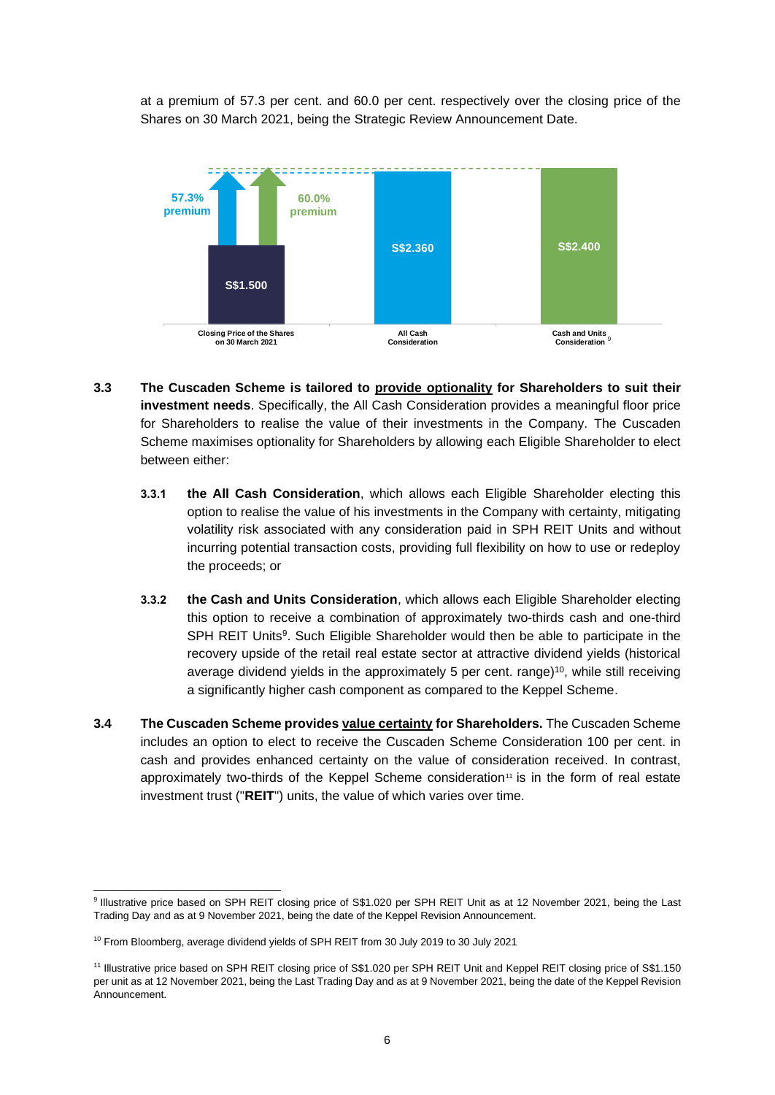at a premium of 57.3 per cent. and 60.0 per cent. respectively over the closing price of the Shares on 30 March 2021, being the Strategic Review Announcement Date.



- **3.3 The Cuscaden Scheme is tailored to provide optionality for Shareholders to suit their investment needs**. Specifically, the All Cash Consideration provides a meaningful floor price for Shareholders to realise the value of their investments in the Company. The Cuscaden Scheme maximises optionality for Shareholders by allowing each Eligible Shareholder to elect between either:
	- **3.3.1 the All Cash Consideration**, which allows each Eligible Shareholder electing this option to realise the value of his investments in the Company with certainty, mitigating volatility risk associated with any consideration paid in SPH REIT Units and without incurring potential transaction costs, providing full flexibility on how to use or redeploy the proceeds; or
	- **3.3.2 the Cash and Units Consideration**, which allows each Eligible Shareholder electing this option to receive a combination of approximately two-thirds cash and one-third SPH REIT Units<sup>9</sup>. Such Eligible Shareholder would then be able to participate in the recovery upside of the retail real estate sector at attractive dividend yields (historical average dividend yields in the approximately 5 per cent. range)<sup>10</sup>, while still receiving a significantly higher cash component as compared to the Keppel Scheme.
- **3.4 The Cuscaden Scheme provides value certainty for Shareholders.** The Cuscaden Scheme includes an option to elect to receive the Cuscaden Scheme Consideration 100 per cent. in cash and provides enhanced certainty on the value of consideration received. In contrast, approximately two-thirds of the Keppel Scheme consideration<sup>11</sup> is in the form of real estate investment trust ("**REIT**") units, the value of which varies over time.

<sup>9</sup> Illustrative price based on SPH REIT closing price of S\$1.020 per SPH REIT Unit as at 12 November 2021, being the Last Trading Day and as at 9 November 2021, being the date of the Keppel Revision Announcement.

<sup>&</sup>lt;sup>10</sup> From Bloomberg, average dividend yields of SPH REIT from 30 July 2019 to 30 July 2021

<sup>11</sup> Illustrative price based on SPH REIT closing price of S\$1.020 per SPH REIT Unit and Keppel REIT closing price of S\$1.150 per unit as at 12 November 2021, being the Last Trading Day and as at 9 November 2021, being the date of the Keppel Revision Announcement.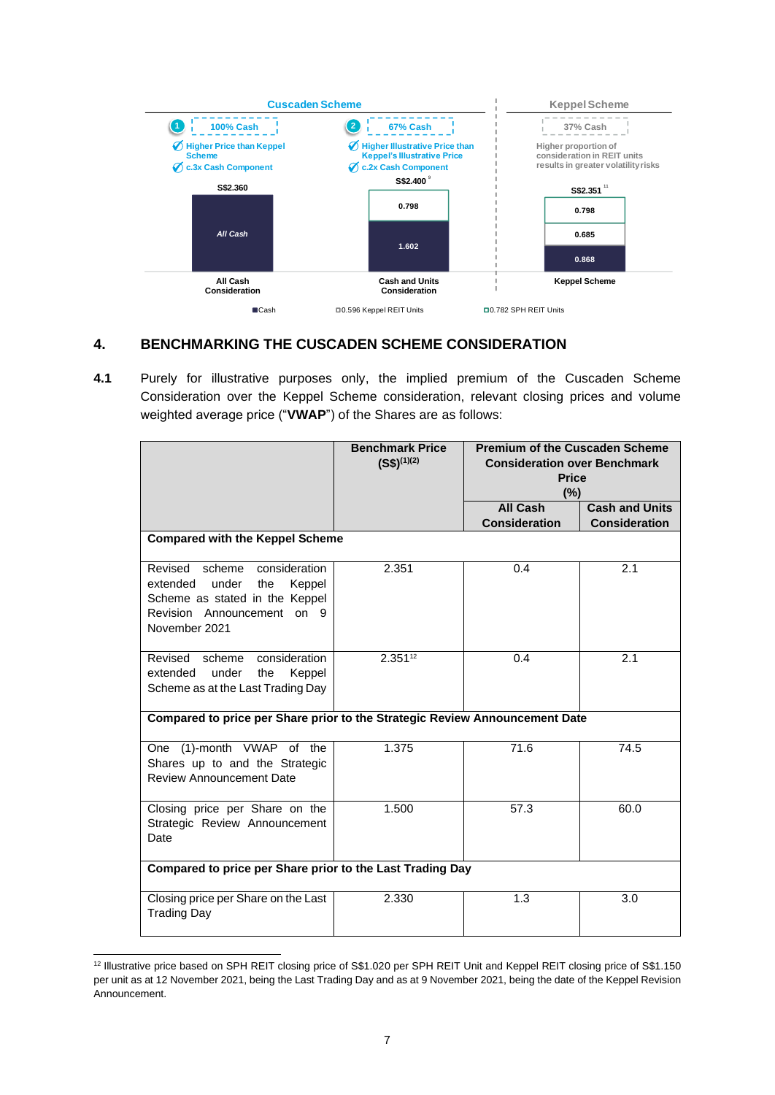

# **4. BENCHMARKING THE CUSCADEN SCHEME CONSIDERATION**

**4.1** Purely for illustrative purposes only, the implied premium of the Cuscaden Scheme Consideration over the Keppel Scheme consideration, relevant closing prices and volume weighted average price ("**VWAP**") of the Shares are as follows:

|                                                                                                                                                           | <b>Benchmark Price</b><br>$(S$)^{(1)(2)}$ | <b>Premium of the Cuscaden Scheme</b><br><b>Consideration over Benchmark</b><br><b>Price</b><br>(%) |                                               |  |  |
|-----------------------------------------------------------------------------------------------------------------------------------------------------------|-------------------------------------------|-----------------------------------------------------------------------------------------------------|-----------------------------------------------|--|--|
|                                                                                                                                                           |                                           | <b>All Cash</b><br><b>Consideration</b>                                                             | <b>Cash and Units</b><br><b>Consideration</b> |  |  |
| <b>Compared with the Keppel Scheme</b>                                                                                                                    |                                           |                                                                                                     |                                               |  |  |
| Revised<br>scheme<br>consideration<br>extended<br>under<br>Keppel<br>the<br>Scheme as stated in the Keppel<br>Revision Announcement on 9<br>November 2021 | 2.351                                     | 0.4                                                                                                 | 2.1                                           |  |  |
| consideration<br>Revised<br>scheme<br>extended<br>under<br>Keppel<br>the<br>Scheme as at the Last Trading Day                                             | $2.351^{12}$                              | 0.4                                                                                                 | 2.1                                           |  |  |
| Compared to price per Share prior to the Strategic Review Announcement Date                                                                               |                                           |                                                                                                     |                                               |  |  |
| (1)-month VWAP of the<br>One<br>Shares up to and the Strategic<br><b>Review Announcement Date</b>                                                         | 1.375                                     | 71.6                                                                                                | 74.5                                          |  |  |
| Closing price per Share on the<br>Strategic Review Announcement<br>Date                                                                                   | 1.500                                     | 57.3                                                                                                | 60.0                                          |  |  |
| Compared to price per Share prior to the Last Trading Day                                                                                                 |                                           |                                                                                                     |                                               |  |  |
| Closing price per Share on the Last<br><b>Trading Day</b>                                                                                                 | 2.330                                     | 1.3                                                                                                 | 3.0                                           |  |  |

<sup>12</sup> Illustrative price based on SPH REIT closing price of S\$1.020 per SPH REIT Unit and Keppel REIT closing price of S\$1.150 per unit as at 12 November 2021, being the Last Trading Day and as at 9 November 2021, being the date of the Keppel Revision Announcement.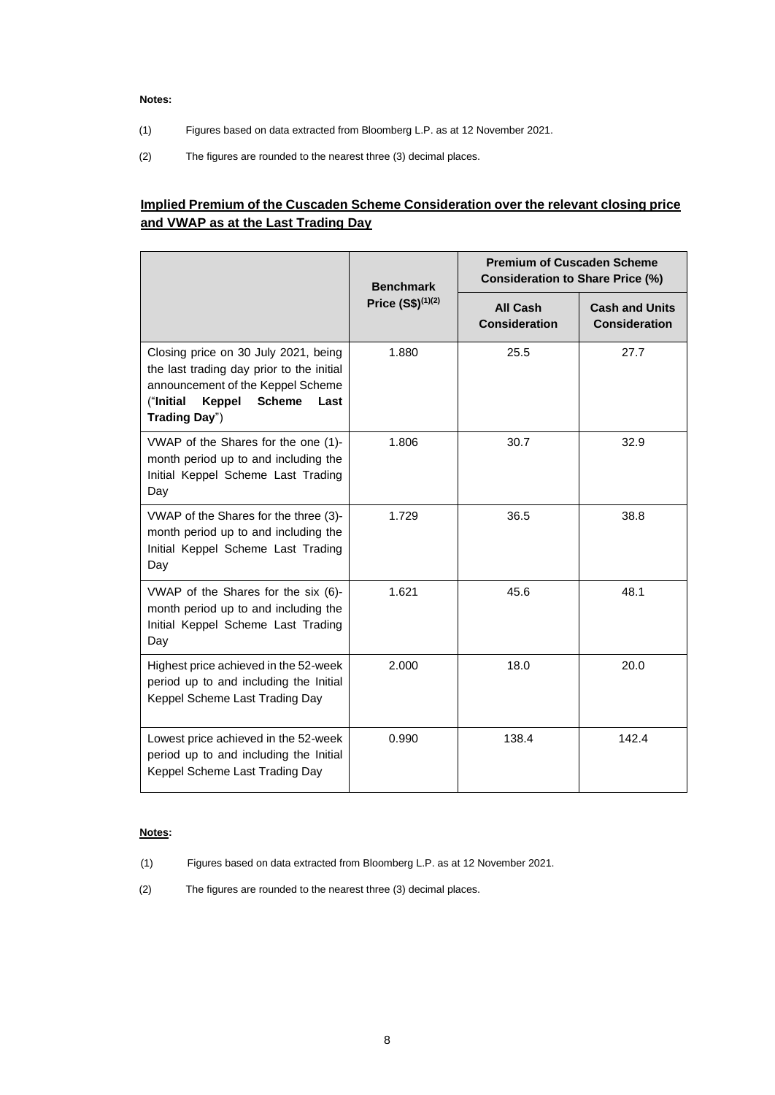#### **Notes:**

- (1) Figures based on data extracted from Bloomberg L.P. as at 12 November 2021.
- (2) The figures are rounded to the nearest three (3) decimal places.

# **Implied Premium of the Cuscaden Scheme Consideration over the relevant closing price and VWAP as at the Last Trading Day**

|                                                                                                                                                                                         | <b>Benchmark</b>      | <b>Premium of Cuscaden Scheme</b><br><b>Consideration to Share Price (%)</b> |                                               |
|-----------------------------------------------------------------------------------------------------------------------------------------------------------------------------------------|-----------------------|------------------------------------------------------------------------------|-----------------------------------------------|
|                                                                                                                                                                                         | Price $(S$)^{(1)(2)}$ | <b>All Cash</b><br><b>Consideration</b>                                      | <b>Cash and Units</b><br><b>Consideration</b> |
| Closing price on 30 July 2021, being<br>the last trading day prior to the initial<br>announcement of the Keppel Scheme<br>("Initial<br><b>Scheme</b><br>Keppel<br>Last<br>Trading Day") | 1.880                 | 25.5                                                                         | 27.7                                          |
| VWAP of the Shares for the one (1)-<br>month period up to and including the<br>Initial Keppel Scheme Last Trading<br>Day                                                                | 1.806                 | 30.7                                                                         | 32.9                                          |
| VWAP of the Shares for the three (3)-<br>month period up to and including the<br>Initial Keppel Scheme Last Trading<br>Day                                                              | 1.729                 | 36.5                                                                         | 38.8                                          |
| VWAP of the Shares for the six (6)-<br>month period up to and including the<br>Initial Keppel Scheme Last Trading<br>Day                                                                | 1.621                 | 45.6                                                                         | 48.1                                          |
| Highest price achieved in the 52-week<br>period up to and including the Initial<br>Keppel Scheme Last Trading Day                                                                       | 2.000                 | 18.0                                                                         | 20.0                                          |
| Lowest price achieved in the 52-week<br>period up to and including the Initial<br>Keppel Scheme Last Trading Day                                                                        | 0.990                 | 138.4                                                                        | 142.4                                         |

#### **Notes:**

- (1) Figures based on data extracted from Bloomberg L.P. as at 12 November 2021.
- (2) The figures are rounded to the nearest three (3) decimal places.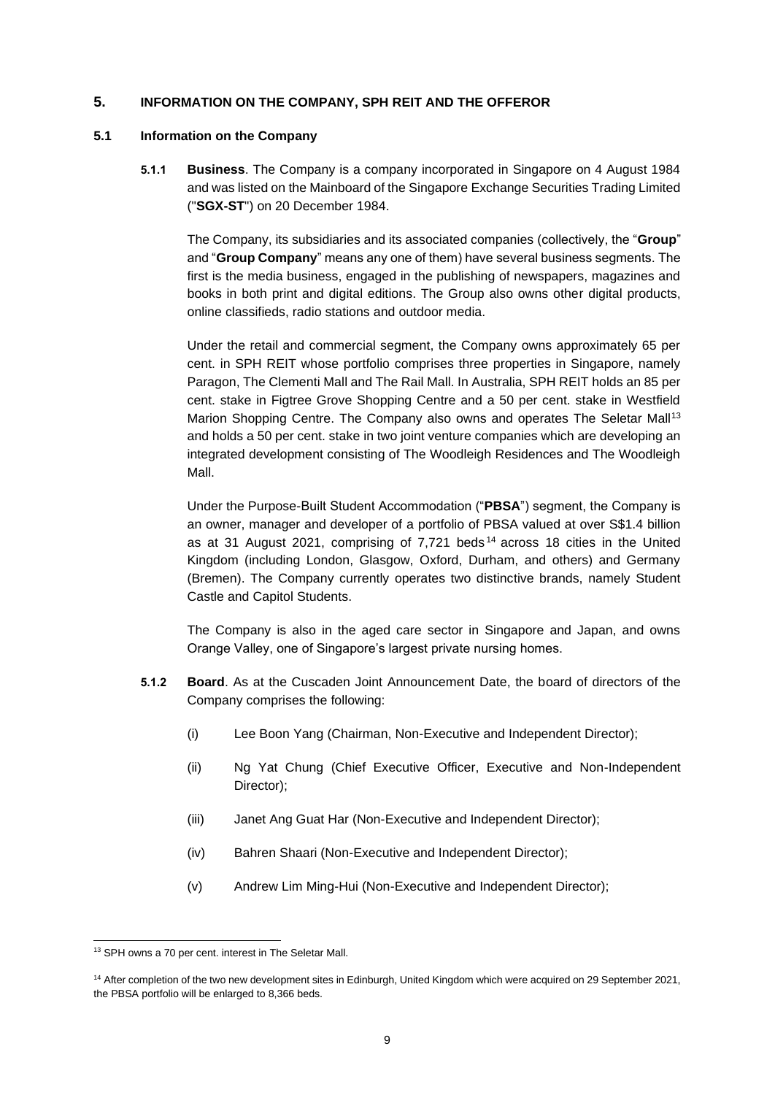### **5. INFORMATION ON THE COMPANY, SPH REIT AND THE OFFEROR**

#### **5.1 Information on the Company**

**5.1.1 Business**. The Company is a company incorporated in Singapore on 4 August 1984 and was listed on the Mainboard of the Singapore Exchange Securities Trading Limited ("**SGX-ST**") on 20 December 1984.

The Company, its subsidiaries and its associated companies (collectively, the "**Group**" and "**Group Company**" means any one of them) have several business segments. The first is the media business, engaged in the publishing of newspapers, magazines and books in both print and digital editions. The Group also owns other digital products, online classifieds, radio stations and outdoor media.

Under the retail and commercial segment, the Company owns approximately 65 per cent. in SPH REIT whose portfolio comprises three properties in Singapore, namely Paragon, The Clementi Mall and The Rail Mall. In Australia, SPH REIT holds an 85 per cent. stake in Figtree Grove Shopping Centre and a 50 per cent. stake in Westfield Marion Shopping Centre. The Company also owns and operates The Seletar Mall<sup>13</sup> and holds a 50 per cent. stake in two joint venture companies which are developing an integrated development consisting of The Woodleigh Residences and The Woodleigh Mall.

Under the Purpose-Built Student Accommodation ("**PBSA**") segment, the Company is an owner, manager and developer of a portfolio of PBSA valued at over S\$1.4 billion as at 31 August 2021, comprising of 7,721 beds <sup>14</sup> across 18 cities in the United Kingdom (including London, Glasgow, Oxford, Durham, and others) and Germany (Bremen). The Company currently operates two distinctive brands, namely Student Castle and Capitol Students.

The Company is also in the aged care sector in Singapore and Japan, and owns Orange Valley, one of Singapore's largest private nursing homes.

- **5.1.2 Board**. As at the Cuscaden Joint Announcement Date, the board of directors of the Company comprises the following:
	- (i) Lee Boon Yang (Chairman, Non-Executive and Independent Director);
	- (ii) Ng Yat Chung (Chief Executive Officer, Executive and Non-Independent Director);
	- (iii) Janet Ang Guat Har (Non-Executive and Independent Director);
	- (iv) Bahren Shaari (Non-Executive and Independent Director);
	- (v) Andrew Lim Ming-Hui (Non-Executive and Independent Director);

<sup>&</sup>lt;sup>13</sup> SPH owns a 70 per cent. interest in The Seletar Mall.

<sup>&</sup>lt;sup>14</sup> After completion of the two new development sites in Edinburgh, United Kingdom which were acquired on 29 September 2021, the PBSA portfolio will be enlarged to 8,366 beds.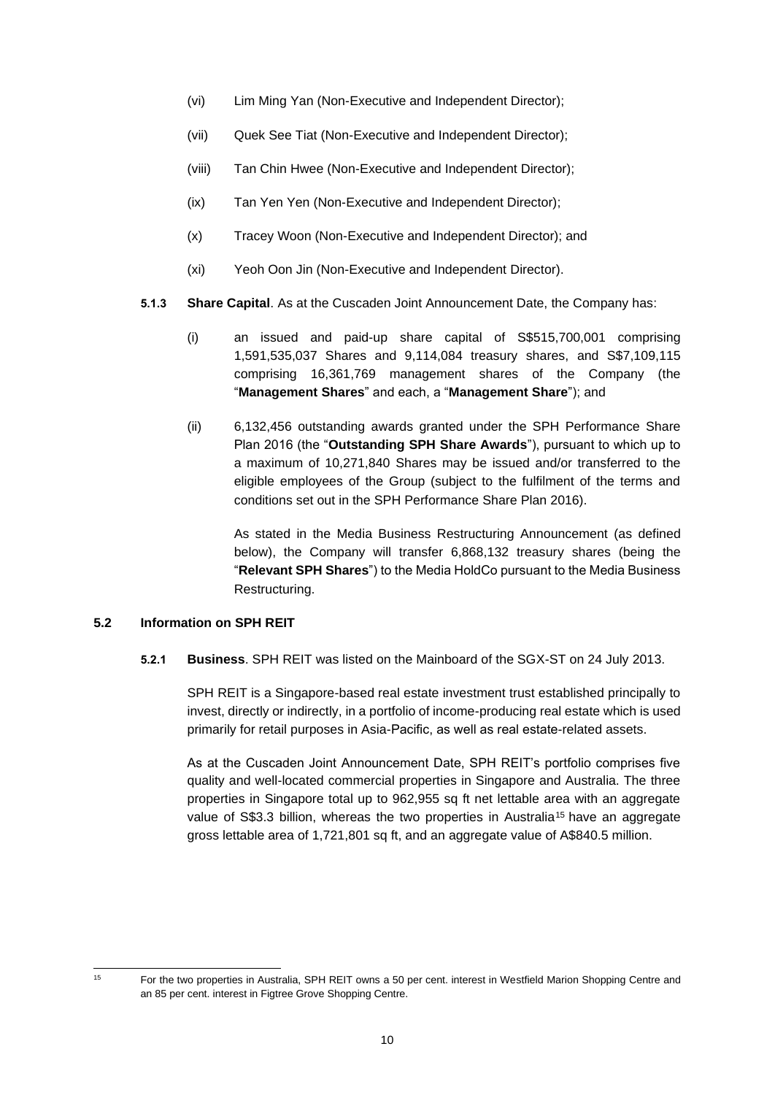- (vi) Lim Ming Yan (Non-Executive and Independent Director);
- (vii) Quek See Tiat (Non-Executive and Independent Director);
- (viii) Tan Chin Hwee (Non-Executive and Independent Director);
- (ix) Tan Yen Yen (Non-Executive and Independent Director);
- (x) Tracey Woon (Non-Executive and Independent Director); and
- (xi) Yeoh Oon Jin (Non-Executive and Independent Director).
- **5.1.3 Share Capital**. As at the Cuscaden Joint Announcement Date, the Company has:
	- (i) an issued and paid-up share capital of S\$515,700,001 comprising 1,591,535,037 Shares and 9,114,084 treasury shares, and S\$7,109,115 comprising 16,361,769 management shares of the Company (the "**Management Shares**" and each, a "**Management Share**"); and
	- (ii) 6,132,456 outstanding awards granted under the SPH Performance Share Plan 2016 (the "**Outstanding SPH Share Awards**"), pursuant to which up to a maximum of 10,271,840 Shares may be issued and/or transferred to the eligible employees of the Group (subject to the fulfilment of the terms and conditions set out in the SPH Performance Share Plan 2016).

As stated in the Media Business Restructuring Announcement (as defined below), the Company will transfer 6,868,132 treasury shares (being the "**Relevant SPH Shares**") to the Media HoldCo pursuant to the Media Business Restructuring.

## **5.2 Information on SPH REIT**

**5.2.1 Business**. SPH REIT was listed on the Mainboard of the SGX-ST on 24 July 2013.

SPH REIT is a Singapore-based real estate investment trust established principally to invest, directly or indirectly, in a portfolio of income-producing real estate which is used primarily for retail purposes in Asia-Pacific, as well as real estate-related assets.

As at the Cuscaden Joint Announcement Date, SPH REIT's portfolio comprises five quality and well-located commercial properties in Singapore and Australia. The three properties in Singapore total up to 962,955 sq ft net lettable area with an aggregate value of S\$3.3 billion, whereas the two properties in Australia<sup>15</sup> have an aggregate gross lettable area of 1,721,801 sq ft, and an aggregate value of A\$840.5 million.

<sup>15</sup> For the two properties in Australia, SPH REIT owns a 50 per cent. interest in Westfield Marion Shopping Centre and an 85 per cent. interest in Figtree Grove Shopping Centre.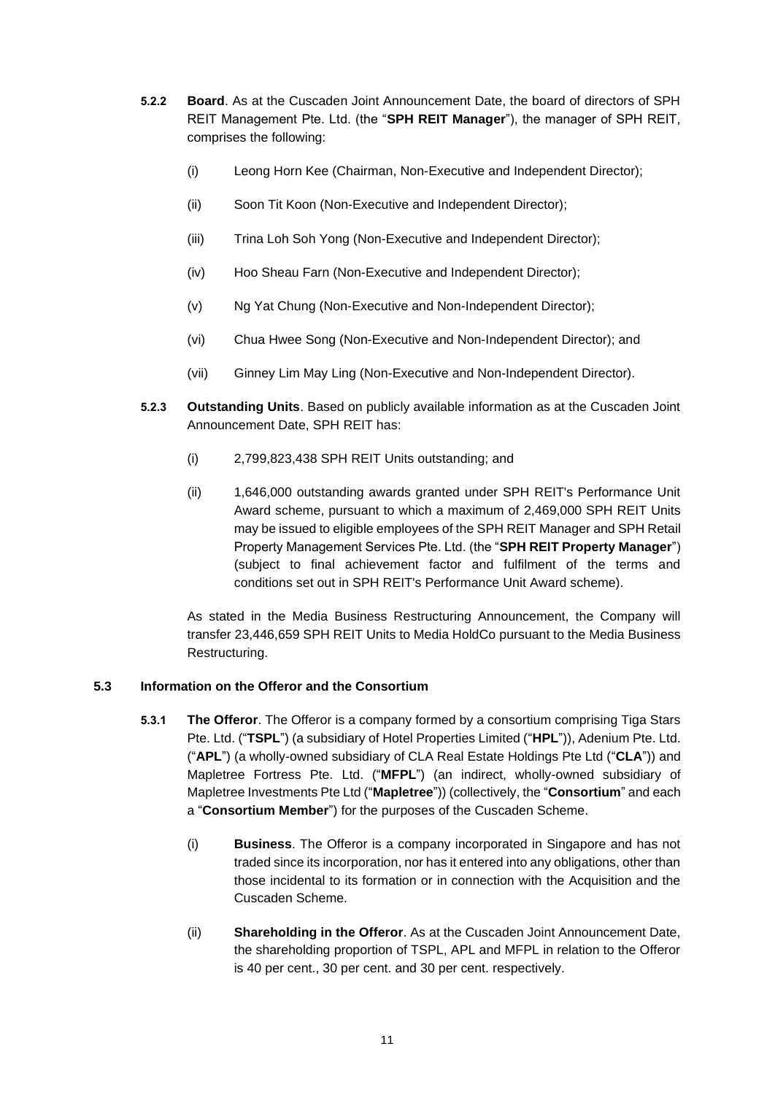- **5.2.2 Board**. As at the Cuscaden Joint Announcement Date, the board of directors of SPH REIT Management Pte. Ltd. (the "**SPH REIT Manager**"), the manager of SPH REIT, comprises the following:
	- (i) Leong Horn Kee (Chairman, Non-Executive and Independent Director);
	- (ii) Soon Tit Koon (Non-Executive and Independent Director);
	- (iii) Trina Loh Soh Yong (Non-Executive and Independent Director);
	- (iv) Hoo Sheau Farn (Non-Executive and Independent Director);
	- (v) Ng Yat Chung (Non-Executive and Non-Independent Director);
	- (vi) Chua Hwee Song (Non-Executive and Non-Independent Director); and
	- (vii) Ginney Lim May Ling (Non-Executive and Non-Independent Director).
- **5.2.3 Outstanding Units**. Based on publicly available information as at the Cuscaden Joint Announcement Date, SPH REIT has:
	- (i) 2,799,823,438 SPH REIT Units outstanding; and
	- (ii) 1,646,000 outstanding awards granted under SPH REIT's Performance Unit Award scheme, pursuant to which a maximum of 2,469,000 SPH REIT Units may be issued to eligible employees of the SPH REIT Manager and SPH Retail Property Management Services Pte. Ltd. (the "**SPH REIT Property Manager**") (subject to final achievement factor and fulfilment of the terms and conditions set out in SPH REIT's Performance Unit Award scheme).

As stated in the Media Business Restructuring Announcement, the Company will transfer 23,446,659 SPH REIT Units to Media HoldCo pursuant to the Media Business Restructuring.

## **5.3 Information on the Offeror and the Consortium**

- **5.3.1 The Offeror**. The Offeror is a company formed by a consortium comprising Tiga Stars Pte. Ltd. ("**TSPL**") (a subsidiary of Hotel Properties Limited ("**HPL**")), Adenium Pte. Ltd. ("**APL**") (a wholly-owned subsidiary of CLA Real Estate Holdings Pte Ltd ("**CLA**")) and Mapletree Fortress Pte. Ltd. ("**MFPL**") (an indirect, wholly-owned subsidiary of Mapletree Investments Pte Ltd ("**Mapletree**")) (collectively, the "**Consortium**" and each a "**Consortium Member**") for the purposes of the Cuscaden Scheme.
	- (i) **Business**. The Offeror is a company incorporated in Singapore and has not traded since its incorporation, nor has it entered into any obligations, other than those incidental to its formation or in connection with the Acquisition and the Cuscaden Scheme.
	- (ii) **Shareholding in the Offeror**. As at the Cuscaden Joint Announcement Date, the shareholding proportion of TSPL, APL and MFPL in relation to the Offeror is 40 per cent., 30 per cent. and 30 per cent. respectively.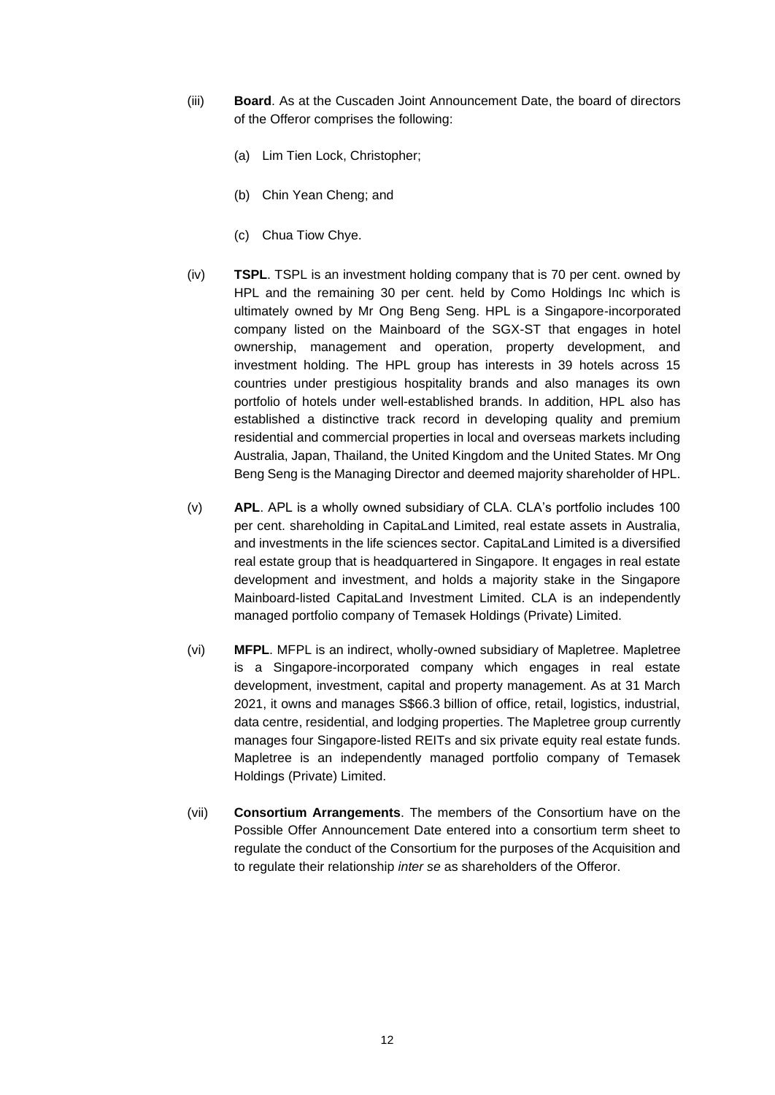- (iii) **Board**. As at the Cuscaden Joint Announcement Date, the board of directors of the Offeror comprises the following:
	- (a) Lim Tien Lock, Christopher;
	- (b) Chin Yean Cheng; and
	- (c) Chua Tiow Chye.
- (iv) **TSPL**. TSPL is an investment holding company that is 70 per cent. owned by HPL and the remaining 30 per cent. held by Como Holdings Inc which is ultimately owned by Mr Ong Beng Seng. HPL is a Singapore-incorporated company listed on the Mainboard of the SGX-ST that engages in hotel ownership, management and operation, property development, and investment holding. The HPL group has interests in 39 hotels across 15 countries under prestigious hospitality brands and also manages its own portfolio of hotels under well-established brands. In addition, HPL also has established a distinctive track record in developing quality and premium residential and commercial properties in local and overseas markets including Australia, Japan, Thailand, the United Kingdom and the United States. Mr Ong Beng Seng is the Managing Director and deemed majority shareholder of HPL.
- (v) **APL**. APL is a wholly owned subsidiary of CLA. CLA's portfolio includes 100 per cent. shareholding in CapitaLand Limited, real estate assets in Australia, and investments in the life sciences sector. CapitaLand Limited is a diversified real estate group that is headquartered in Singapore. It engages in real estate development and investment, and holds a majority stake in the Singapore Mainboard-listed CapitaLand Investment Limited. CLA is an independently managed portfolio company of Temasek Holdings (Private) Limited.
- (vi) **MFPL**. MFPL is an indirect, wholly-owned subsidiary of Mapletree. Mapletree is a Singapore-incorporated company which engages in real estate development, investment, capital and property management. As at 31 March 2021, it owns and manages S\$66.3 billion of office, retail, logistics, industrial, data centre, residential, and lodging properties. The Mapletree group currently manages four Singapore-listed REITs and six private equity real estate funds. Mapletree is an independently managed portfolio company of Temasek Holdings (Private) Limited.
- (vii) **Consortium Arrangements**. The members of the Consortium have on the Possible Offer Announcement Date entered into a consortium term sheet to regulate the conduct of the Consortium for the purposes of the Acquisition and to regulate their relationship *inter se* as shareholders of the Offeror.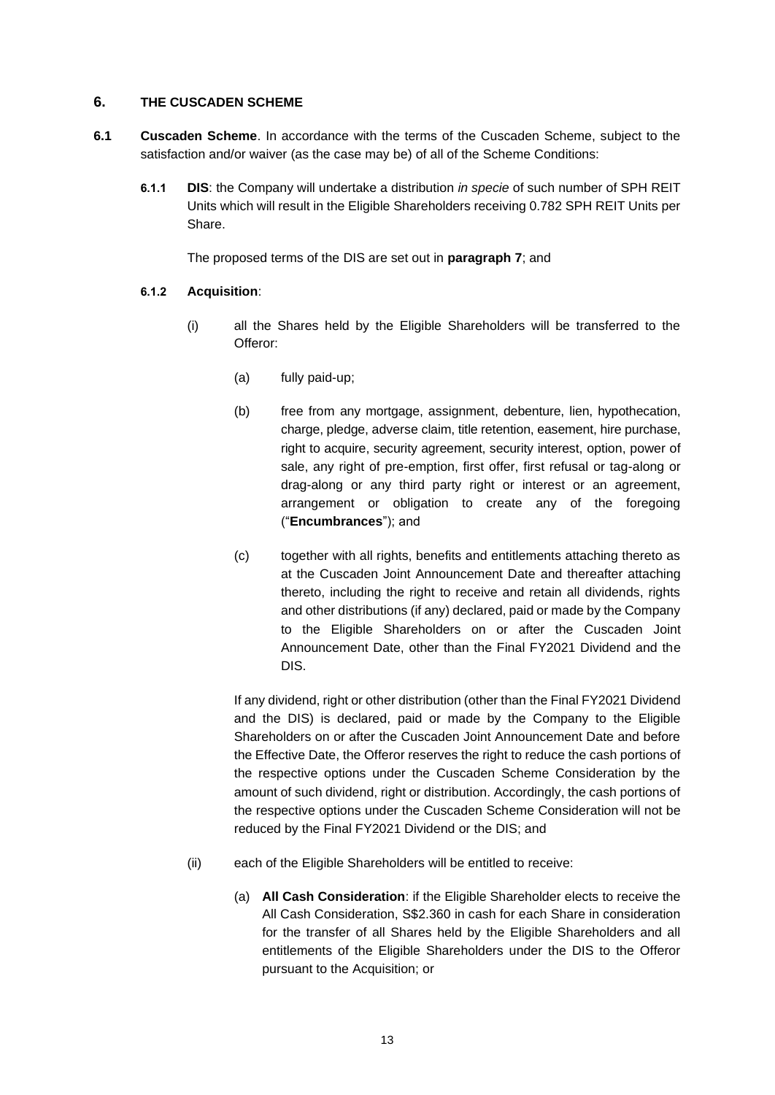### **6. THE CUSCADEN SCHEME**

- **6.1 Cuscaden Scheme**. In accordance with the terms of the Cuscaden Scheme, subject to the satisfaction and/or waiver (as the case may be) of all of the Scheme Conditions:
	- **6.1.1 DIS**: the Company will undertake a distribution *in specie* of such number of SPH REIT Units which will result in the Eligible Shareholders receiving 0.782 SPH REIT Units per Share.

The proposed terms of the DIS are set out in **paragraph [7](#page-19-0)**; and

## **6.1.2 Acquisition**:

- (i) all the Shares held by the Eligible Shareholders will be transferred to the Offeror:
	- (a) fully paid-up;
	- (b) free from any mortgage, assignment, debenture, lien, hypothecation, charge, pledge, adverse claim, title retention, easement, hire purchase, right to acquire, security agreement, security interest, option, power of sale, any right of pre-emption, first offer, first refusal or tag-along or drag-along or any third party right or interest or an agreement, arrangement or obligation to create any of the foregoing ("**Encumbrances**"); and
	- (c) together with all rights, benefits and entitlements attaching thereto as at the Cuscaden Joint Announcement Date and thereafter attaching thereto, including the right to receive and retain all dividends, rights and other distributions (if any) declared, paid or made by the Company to the Eligible Shareholders on or after the Cuscaden Joint Announcement Date, other than the Final FY2021 Dividend and the DIS.

If any dividend, right or other distribution (other than the Final FY2021 Dividend and the DIS) is declared, paid or made by the Company to the Eligible Shareholders on or after the Cuscaden Joint Announcement Date and before the Effective Date, the Offeror reserves the right to reduce the cash portions of the respective options under the Cuscaden Scheme Consideration by the amount of such dividend, right or distribution. Accordingly, the cash portions of the respective options under the Cuscaden Scheme Consideration will not be reduced by the Final FY2021 Dividend or the DIS; and

- (ii) each of the Eligible Shareholders will be entitled to receive:
	- (a) **All Cash Consideration**: if the Eligible Shareholder elects to receive the All Cash Consideration, S\$2.360 in cash for each Share in consideration for the transfer of all Shares held by the Eligible Shareholders and all entitlements of the Eligible Shareholders under the DIS to the Offeror pursuant to the Acquisition; or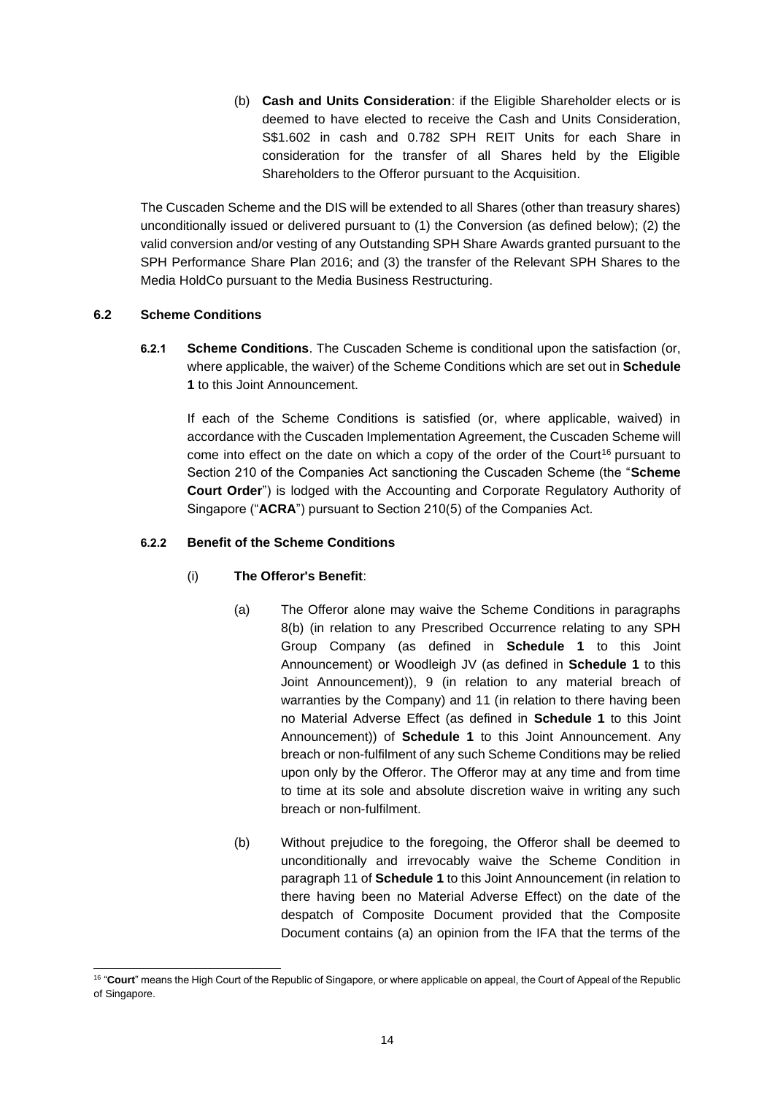(b) **Cash and Units Consideration**: if the Eligible Shareholder elects or is deemed to have elected to receive the Cash and Units Consideration, S\$1.602 in cash and 0.782 SPH REIT Units for each Share in consideration for the transfer of all Shares held by the Eligible Shareholders to the Offeror pursuant to the Acquisition.

The Cuscaden Scheme and the DIS will be extended to all Shares (other than treasury shares) unconditionally issued or delivered pursuant to (1) the Conversion (as defined below); (2) the valid conversion and/or vesting of any Outstanding SPH Share Awards granted pursuant to the SPH Performance Share Plan 2016; and (3) the transfer of the Relevant SPH Shares to the Media HoldCo pursuant to the Media Business Restructuring.

## **6.2 Scheme Conditions**

**6.2.1 Scheme Conditions**. The Cuscaden Scheme is conditional upon the satisfaction (or, where applicable, the waiver) of the Scheme Conditions which are set out in **Schedule 1** to this Joint Announcement.

If each of the Scheme Conditions is satisfied (or, where applicable, waived) in accordance with the Cuscaden Implementation Agreement, the Cuscaden Scheme will come into effect on the date on which a copy of the order of the Court<sup>16</sup> pursuant to Section 210 of the Companies Act sanctioning the Cuscaden Scheme (the "**Scheme Court Order**") is lodged with the Accounting and Corporate Regulatory Authority of Singapore ("**ACRA**") pursuant to Section 210(5) of the Companies Act.

## <span id="page-13-1"></span><span id="page-13-0"></span>**6.2.2 Benefit of the Scheme Conditions**

## (i) **The Offeror's Benefit**:

- (a) The Offeror alone may waive the Scheme Conditions in paragraphs 8(b) (in relation to any Prescribed Occurrence relating to any SPH Group Company (as defined in **Schedule 1** to this Joint Announcement) or Woodleigh JV (as defined in **Schedule 1** to this Joint Announcement)), 9 (in relation to any material breach of warranties by the Company) and 11 (in relation to there having been no Material Adverse Effect (as defined in **Schedule 1** to this Joint Announcement)) of **Schedule 1** to this Joint Announcement. Any breach or non-fulfilment of any such Scheme Conditions may be relied upon only by the Offeror. The Offeror may at any time and from time to time at its sole and absolute discretion waive in writing any such breach or non-fulfilment.
- (b) Without prejudice to the foregoing, the Offeror shall be deemed to unconditionally and irrevocably waive the Scheme Condition in paragraph 11 of **Schedule 1** to this Joint Announcement (in relation to there having been no Material Adverse Effect) on the date of the despatch of Composite Document provided that the Composite Document contains (a) an opinion from the IFA that the terms of the

<span id="page-13-2"></span><sup>&</sup>lt;sup>16</sup> "Court" means the High Court of the Republic of Singapore, or where applicable on appeal, the Court of Appeal of the Republic of Singapore.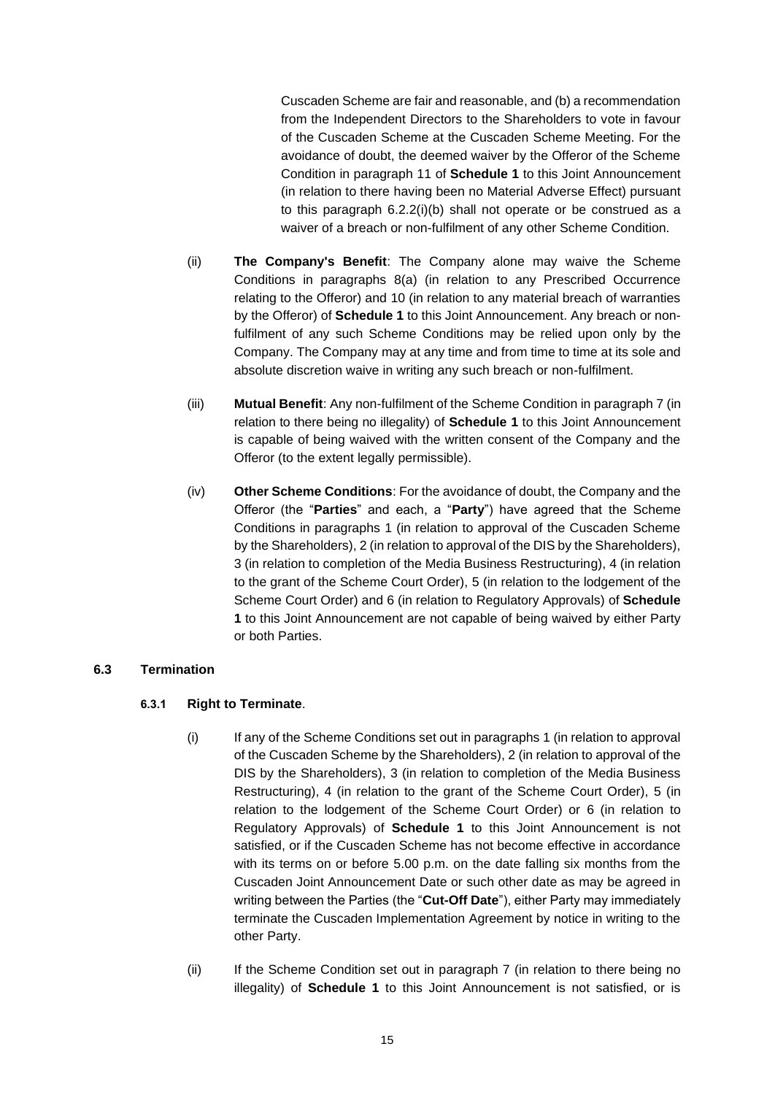Cuscaden Scheme are fair and reasonable, and (b) a recommendation from the Independent Directors to the Shareholders to vote in favour of the Cuscaden Scheme at the Cuscaden Scheme Meeting. For the avoidance of doubt, the deemed waiver by the Offeror of the Scheme Condition in paragraph 11 of **Schedule 1** to this Joint Announcement (in relation to there having been no Material Adverse Effect) pursuant to this paragraph [6.2.2](#page-13-0)[\(i\)](#page-13-1)[\(b\)](#page-13-2) shall not operate or be construed as a waiver of a breach or non-fulfilment of any other Scheme Condition.

- (ii) **The Company's Benefit**: The Company alone may waive the Scheme Conditions in paragraphs 8(a) (in relation to any Prescribed Occurrence relating to the Offeror) and 10 (in relation to any material breach of warranties by the Offeror) of **Schedule 1** to this Joint Announcement. Any breach or nonfulfilment of any such Scheme Conditions may be relied upon only by the Company. The Company may at any time and from time to time at its sole and absolute discretion waive in writing any such breach or non-fulfilment.
- (iii) **Mutual Benefit**: Any non-fulfilment of the Scheme Condition in paragraph 7 (in relation to there being no illegality) of **Schedule 1** to this Joint Announcement is capable of being waived with the written consent of the Company and the Offeror (to the extent legally permissible).
- (iv) **Other Scheme Conditions**: For the avoidance of doubt, the Company and the Offeror (the "**Parties**" and each, a "**Party**") have agreed that the Scheme Conditions in paragraphs 1 (in relation to approval of the Cuscaden Scheme by the Shareholders), 2 (in relation to approval of the DIS by the Shareholders), 3 (in relation to completion of the Media Business Restructuring), 4 (in relation to the grant of the Scheme Court Order), 5 (in relation to the lodgement of the Scheme Court Order) and 6 (in relation to Regulatory Approvals) of **Schedule 1** to this Joint Announcement are not capable of being waived by either Party or both Parties.

### **6.3 Termination**

### **6.3.1 Right to Terminate**.

- (i) If any of the Scheme Conditions set out in paragraphs 1 (in relation to approval of the Cuscaden Scheme by the Shareholders), 2 (in relation to approval of the DIS by the Shareholders), 3 (in relation to completion of the Media Business Restructuring), 4 (in relation to the grant of the Scheme Court Order), 5 (in relation to the lodgement of the Scheme Court Order) or 6 (in relation to Regulatory Approvals) of **Schedule 1** to this Joint Announcement is not satisfied, or if the Cuscaden Scheme has not become effective in accordance with its terms on or before 5.00 p.m. on the date falling six months from the Cuscaden Joint Announcement Date or such other date as may be agreed in writing between the Parties (the "**Cut-Off Date**"), either Party may immediately terminate the Cuscaden Implementation Agreement by notice in writing to the other Party.
- (ii) If the Scheme Condition set out in paragraph 7 (in relation to there being no illegality) of **Schedule 1** to this Joint Announcement is not satisfied, or is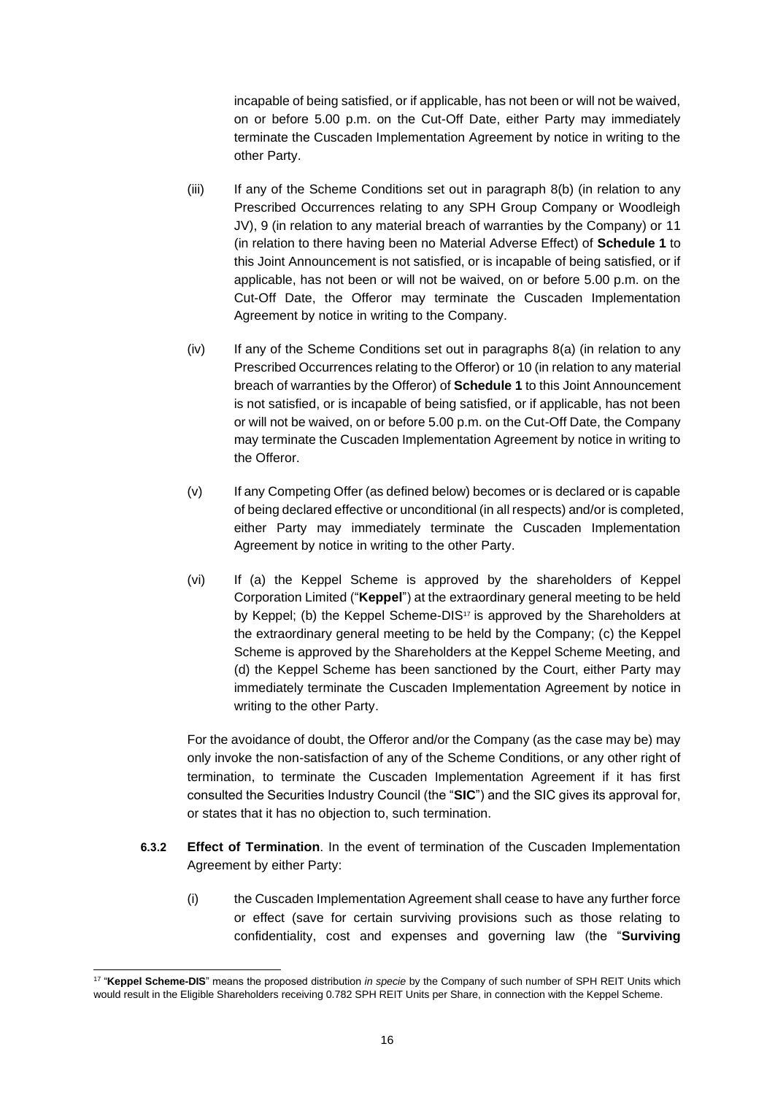incapable of being satisfied, or if applicable, has not been or will not be waived, on or before 5.00 p.m. on the Cut-Off Date, either Party may immediately terminate the Cuscaden Implementation Agreement by notice in writing to the other Party.

- (iii) If any of the Scheme Conditions set out in paragraph 8(b) (in relation to any Prescribed Occurrences relating to any SPH Group Company or Woodleigh JV), 9 (in relation to any material breach of warranties by the Company) or 11 (in relation to there having been no Material Adverse Effect) of **Schedule 1** to this Joint Announcement is not satisfied, or is incapable of being satisfied, or if applicable, has not been or will not be waived, on or before 5.00 p.m. on the Cut-Off Date, the Offeror may terminate the Cuscaden Implementation Agreement by notice in writing to the Company.
- (iv) If any of the Scheme Conditions set out in paragraphs 8(a) (in relation to any Prescribed Occurrences relating to the Offeror) or 10 (in relation to any material breach of warranties by the Offeror) of **Schedule 1** to this Joint Announcement is not satisfied, or is incapable of being satisfied, or if applicable, has not been or will not be waived, on or before 5.00 p.m. on the Cut-Off Date, the Company may terminate the Cuscaden Implementation Agreement by notice in writing to the Offeror.
- (v) If any Competing Offer (as defined below) becomes or is declared or is capable of being declared effective or unconditional (in all respects) and/or is completed, either Party may immediately terminate the Cuscaden Implementation Agreement by notice in writing to the other Party.
- (vi) If (a) the Keppel Scheme is approved by the shareholders of Keppel Corporation Limited ("**Keppel**") at the extraordinary general meeting to be held by Keppel; (b) the Keppel Scheme-DIS<sup>17</sup> is approved by the Shareholders at the extraordinary general meeting to be held by the Company; (c) the Keppel Scheme is approved by the Shareholders at the Keppel Scheme Meeting, and (d) the Keppel Scheme has been sanctioned by the Court, either Party may immediately terminate the Cuscaden Implementation Agreement by notice in writing to the other Party.

For the avoidance of doubt, the Offeror and/or the Company (as the case may be) may only invoke the non-satisfaction of any of the Scheme Conditions, or any other right of termination, to terminate the Cuscaden Implementation Agreement if it has first consulted the Securities Industry Council (the "**SIC**") and the SIC gives its approval for, or states that it has no objection to, such termination.

- **6.3.2 Effect of Termination**. In the event of termination of the Cuscaden Implementation Agreement by either Party:
	- (i) the Cuscaden Implementation Agreement shall cease to have any further force or effect (save for certain surviving provisions such as those relating to confidentiality, cost and expenses and governing law (the "**Surviving**

<sup>17</sup> "**Keppel Scheme-DIS**" means the proposed distribution *in specie* by the Company of such number of SPH REIT Units which would result in the Eligible Shareholders receiving 0.782 SPH REIT Units per Share, in connection with the Keppel Scheme.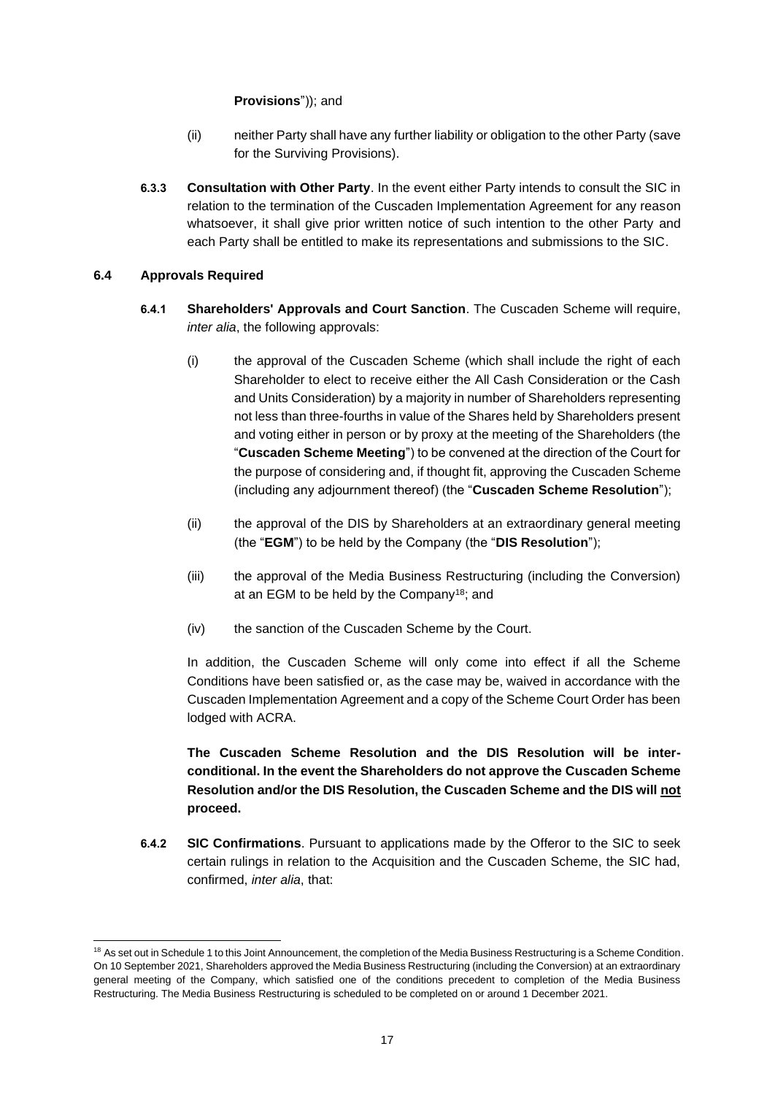### **Provisions**")); and

- (ii) neither Party shall have any further liability or obligation to the other Party (save for the Surviving Provisions).
- **6.3.3 Consultation with Other Party**. In the event either Party intends to consult the SIC in relation to the termination of the Cuscaden Implementation Agreement for any reason whatsoever, it shall give prior written notice of such intention to the other Party and each Party shall be entitled to make its representations and submissions to the SIC.

### **6.4 Approvals Required**

- **6.4.1 Shareholders' Approvals and Court Sanction**. The Cuscaden Scheme will require, *inter alia*, the following approvals:
	- (i) the approval of the Cuscaden Scheme (which shall include the right of each Shareholder to elect to receive either the All Cash Consideration or the Cash and Units Consideration) by a majority in number of Shareholders representing not less than three-fourths in value of the Shares held by Shareholders present and voting either in person or by proxy at the meeting of the Shareholders (the "**Cuscaden Scheme Meeting**") to be convened at the direction of the Court for the purpose of considering and, if thought fit, approving the Cuscaden Scheme (including any adjournment thereof) (the "**Cuscaden Scheme Resolution**");
	- (ii) the approval of the DIS by Shareholders at an extraordinary general meeting (the "**EGM**") to be held by the Company (the "**DIS Resolution**");
	- (iii) the approval of the Media Business Restructuring (including the Conversion) at an EGM to be held by the Company<sup>18</sup>; and
	- (iv) the sanction of the Cuscaden Scheme by the Court.

In addition, the Cuscaden Scheme will only come into effect if all the Scheme Conditions have been satisfied or, as the case may be, waived in accordance with the Cuscaden Implementation Agreement and a copy of the Scheme Court Order has been lodged with ACRA.

**The Cuscaden Scheme Resolution and the DIS Resolution will be interconditional. In the event the Shareholders do not approve the Cuscaden Scheme Resolution and/or the DIS Resolution, the Cuscaden Scheme and the DIS will not proceed.**

**6.4.2 SIC Confirmations**. Pursuant to applications made by the Offeror to the SIC to seek certain rulings in relation to the Acquisition and the Cuscaden Scheme, the SIC had, confirmed, *inter alia*, that:

<sup>&</sup>lt;sup>18</sup> As set out in Schedule 1 to this Joint Announcement, the completion of the Media Business Restructuring is a Scheme Condition. On 10 September 2021, Shareholders approved the Media Business Restructuring (including the Conversion) at an extraordinary general meeting of the Company, which satisfied one of the conditions precedent to completion of the Media Business Restructuring. The Media Business Restructuring is scheduled to be completed on or around 1 December 2021.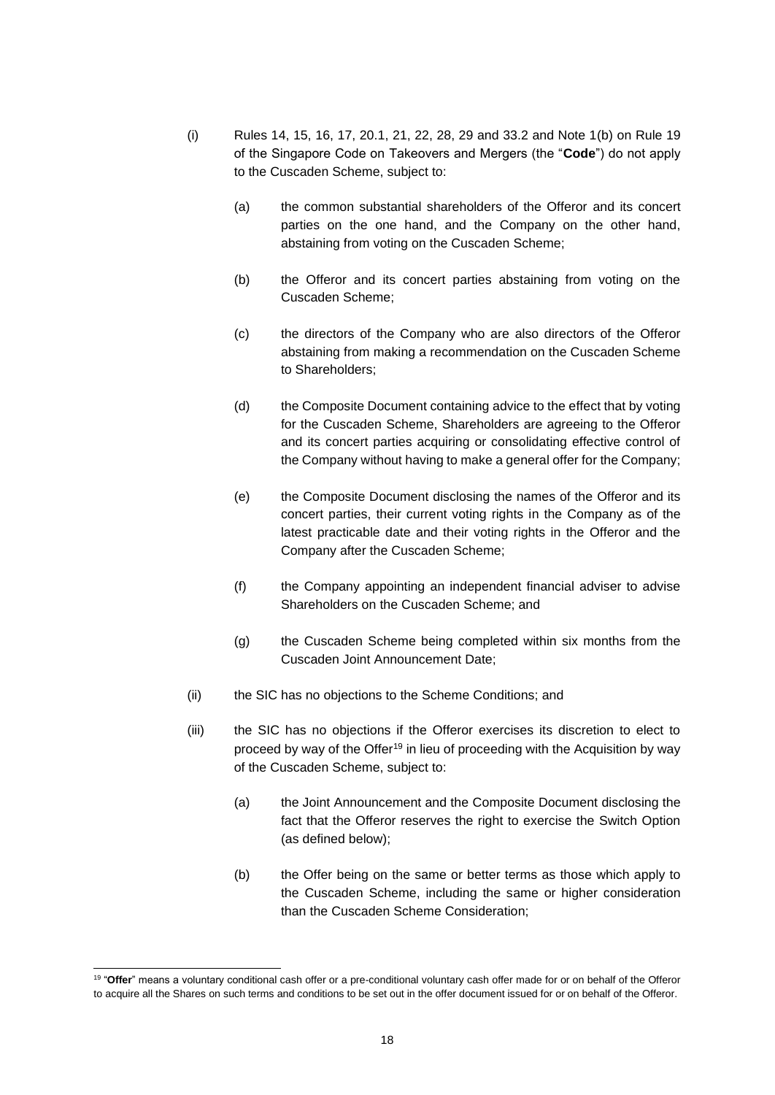- (i) Rules 14, 15, 16, 17, 20.1, 21, 22, 28, 29 and 33.2 and Note 1(b) on Rule 19 of the Singapore Code on Takeovers and Mergers (the "**Code**") do not apply to the Cuscaden Scheme, subject to:
	- (a) the common substantial shareholders of the Offeror and its concert parties on the one hand, and the Company on the other hand, abstaining from voting on the Cuscaden Scheme;
	- (b) the Offeror and its concert parties abstaining from voting on the Cuscaden Scheme;
	- (c) the directors of the Company who are also directors of the Offeror abstaining from making a recommendation on the Cuscaden Scheme to Shareholders;
	- (d) the Composite Document containing advice to the effect that by voting for the Cuscaden Scheme, Shareholders are agreeing to the Offeror and its concert parties acquiring or consolidating effective control of the Company without having to make a general offer for the Company;
	- (e) the Composite Document disclosing the names of the Offeror and its concert parties, their current voting rights in the Company as of the latest practicable date and their voting rights in the Offeror and the Company after the Cuscaden Scheme;
	- (f) the Company appointing an independent financial adviser to advise Shareholders on the Cuscaden Scheme; and
	- (g) the Cuscaden Scheme being completed within six months from the Cuscaden Joint Announcement Date;
- (ii) the SIC has no objections to the Scheme Conditions; and
- (iii) the SIC has no objections if the Offeror exercises its discretion to elect to proceed by way of the Offer<sup>19</sup> in lieu of proceeding with the Acquisition by way of the Cuscaden Scheme, subject to:
	- (a) the Joint Announcement and the Composite Document disclosing the fact that the Offeror reserves the right to exercise the Switch Option (as defined below);
	- (b) the Offer being on the same or better terms as those which apply to the Cuscaden Scheme, including the same or higher consideration than the Cuscaden Scheme Consideration;

<sup>&</sup>lt;sup>19</sup> "Offer" means a voluntary conditional cash offer or a pre-conditional voluntary cash offer made for or on behalf of the Offeror to acquire all the Shares on such terms and conditions to be set out in the offer document issued for or on behalf of the Offeror.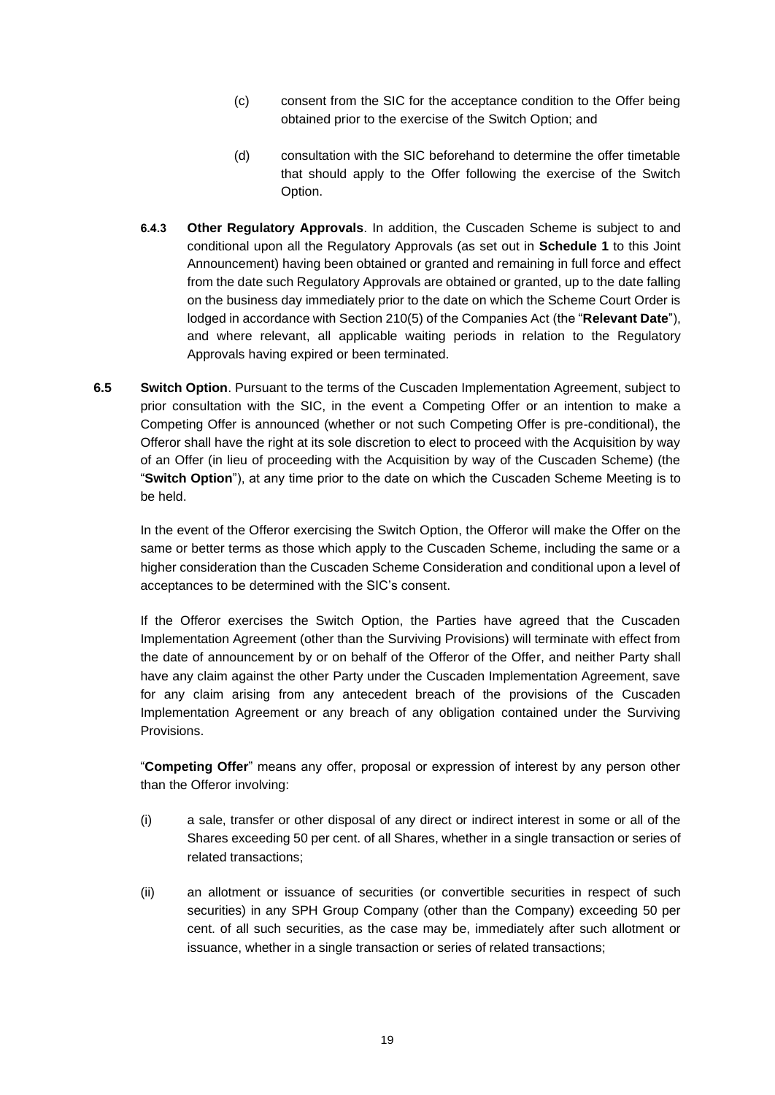- (c) consent from the SIC for the acceptance condition to the Offer being obtained prior to the exercise of the Switch Option; and
- (d) consultation with the SIC beforehand to determine the offer timetable that should apply to the Offer following the exercise of the Switch Option.
- **6.4.3 Other Regulatory Approvals**. In addition, the Cuscaden Scheme is subject to and conditional upon all the Regulatory Approvals (as set out in **Schedule 1** to this Joint Announcement) having been obtained or granted and remaining in full force and effect from the date such Regulatory Approvals are obtained or granted, up to the date falling on the business day immediately prior to the date on which the Scheme Court Order is lodged in accordance with Section 210(5) of the Companies Act (the "**Relevant Date**"), and where relevant, all applicable waiting periods in relation to the Regulatory Approvals having expired or been terminated.
- **6.5 Switch Option**. Pursuant to the terms of the Cuscaden Implementation Agreement, subject to prior consultation with the SIC, in the event a Competing Offer or an intention to make a Competing Offer is announced (whether or not such Competing Offer is pre-conditional), the Offeror shall have the right at its sole discretion to elect to proceed with the Acquisition by way of an Offer (in lieu of proceeding with the Acquisition by way of the Cuscaden Scheme) (the "**Switch Option**"), at any time prior to the date on which the Cuscaden Scheme Meeting is to be held.

In the event of the Offeror exercising the Switch Option, the Offeror will make the Offer on the same or better terms as those which apply to the Cuscaden Scheme, including the same or a higher consideration than the Cuscaden Scheme Consideration and conditional upon a level of acceptances to be determined with the SIC's consent.

If the Offeror exercises the Switch Option, the Parties have agreed that the Cuscaden Implementation Agreement (other than the Surviving Provisions) will terminate with effect from the date of announcement by or on behalf of the Offeror of the Offer, and neither Party shall have any claim against the other Party under the Cuscaden Implementation Agreement, save for any claim arising from any antecedent breach of the provisions of the Cuscaden Implementation Agreement or any breach of any obligation contained under the Surviving Provisions.

"**Competing Offer**" means any offer, proposal or expression of interest by any person other than the Offeror involving:

- (i) a sale, transfer or other disposal of any direct or indirect interest in some or all of the Shares exceeding 50 per cent. of all Shares, whether in a single transaction or series of related transactions;
- (ii) an allotment or issuance of securities (or convertible securities in respect of such securities) in any SPH Group Company (other than the Company) exceeding 50 per cent. of all such securities, as the case may be, immediately after such allotment or issuance, whether in a single transaction or series of related transactions;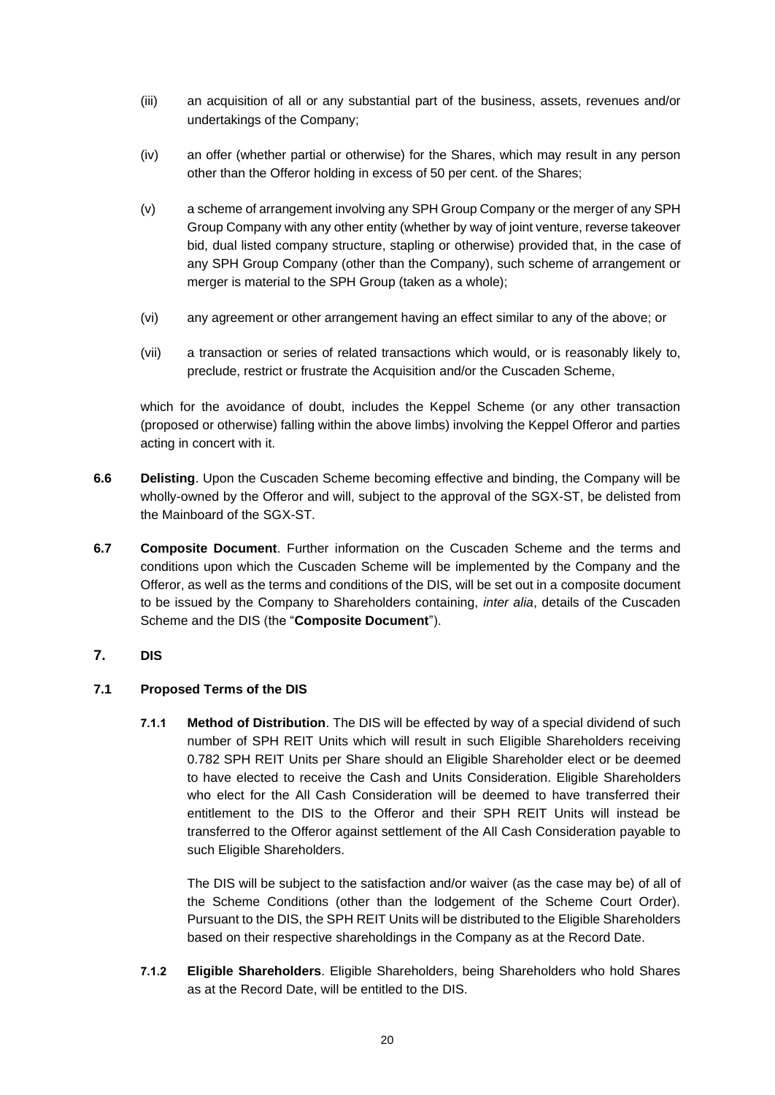- (iii) an acquisition of all or any substantial part of the business, assets, revenues and/or undertakings of the Company;
- (iv) an offer (whether partial or otherwise) for the Shares, which may result in any person other than the Offeror holding in excess of 50 per cent. of the Shares;
- (v) a scheme of arrangement involving any SPH Group Company or the merger of any SPH Group Company with any other entity (whether by way of joint venture, reverse takeover bid, dual listed company structure, stapling or otherwise) provided that, in the case of any SPH Group Company (other than the Company), such scheme of arrangement or merger is material to the SPH Group (taken as a whole);
- (vi) any agreement or other arrangement having an effect similar to any of the above; or
- (vii) a transaction or series of related transactions which would, or is reasonably likely to, preclude, restrict or frustrate the Acquisition and/or the Cuscaden Scheme,

which for the avoidance of doubt, includes the Keppel Scheme (or any other transaction (proposed or otherwise) falling within the above limbs) involving the Keppel Offeror and parties acting in concert with it.

- **6.6 Delisting**. Upon the Cuscaden Scheme becoming effective and binding, the Company will be wholly-owned by the Offeror and will, subject to the approval of the SGX-ST, be delisted from the Mainboard of the SGX-ST.
- **6.7 Composite Document**. Further information on the Cuscaden Scheme and the terms and conditions upon which the Cuscaden Scheme will be implemented by the Company and the Offeror, as well as the terms and conditions of the DIS, will be set out in a composite document to be issued by the Company to Shareholders containing, *inter alia*, details of the Cuscaden Scheme and the DIS (the "**Composite Document**").

## <span id="page-19-0"></span>**7. DIS**

### **7.1 Proposed Terms of the DIS**

**7.1.1 Method of Distribution**. The DIS will be effected by way of a special dividend of such number of SPH REIT Units which will result in such Eligible Shareholders receiving 0.782 SPH REIT Units per Share should an Eligible Shareholder elect or be deemed to have elected to receive the Cash and Units Consideration. Eligible Shareholders who elect for the All Cash Consideration will be deemed to have transferred their entitlement to the DIS to the Offeror and their SPH REIT Units will instead be transferred to the Offeror against settlement of the All Cash Consideration payable to such Eligible Shareholders.

The DIS will be subject to the satisfaction and/or waiver (as the case may be) of all of the Scheme Conditions (other than the lodgement of the Scheme Court Order). Pursuant to the DIS, the SPH REIT Units will be distributed to the Eligible Shareholders based on their respective shareholdings in the Company as at the Record Date.

**7.1.2 Eligible Shareholders**. Eligible Shareholders, being Shareholders who hold Shares as at the Record Date, will be entitled to the DIS.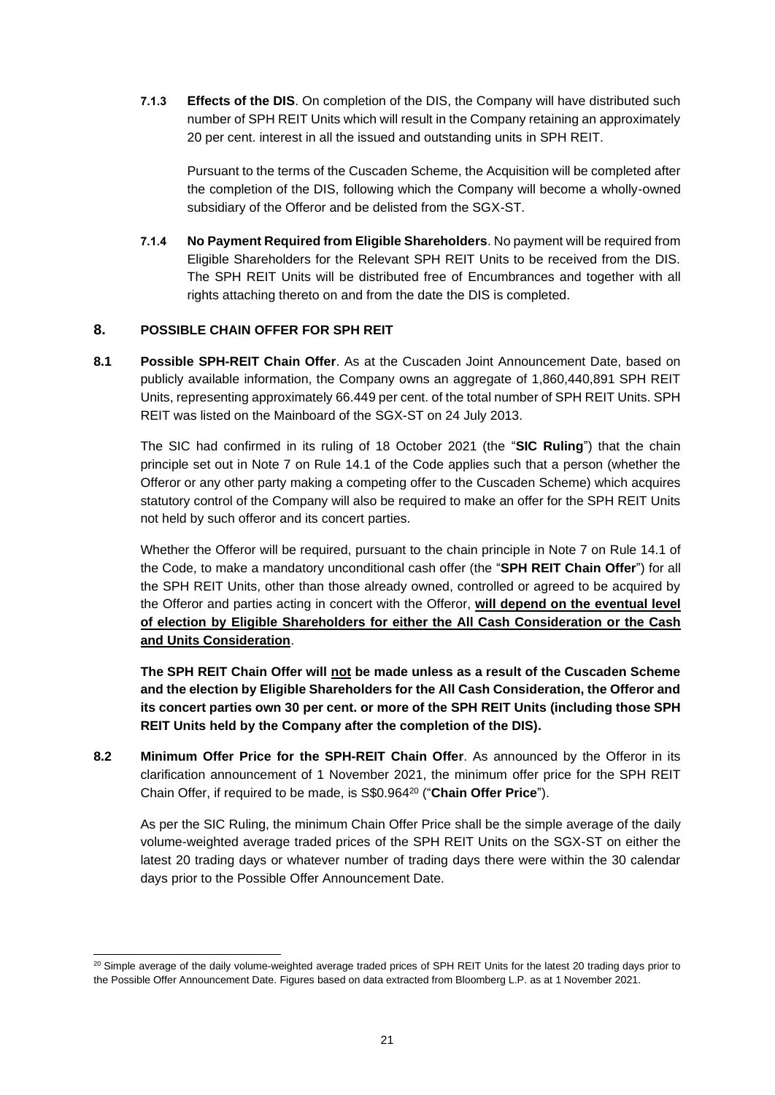**7.1.3 Effects of the DIS**. On completion of the DIS, the Company will have distributed such number of SPH REIT Units which will result in the Company retaining an approximately 20 per cent. interest in all the issued and outstanding units in SPH REIT.

Pursuant to the terms of the Cuscaden Scheme, the Acquisition will be completed after the completion of the DIS, following which the Company will become a wholly-owned subsidiary of the Offeror and be delisted from the SGX-ST.

**7.1.4 No Payment Required from Eligible Shareholders**. No payment will be required from Eligible Shareholders for the Relevant SPH REIT Units to be received from the DIS. The SPH REIT Units will be distributed free of Encumbrances and together with all rights attaching thereto on and from the date the DIS is completed.

## **8. POSSIBLE CHAIN OFFER FOR SPH REIT**

**8.1 Possible SPH-REIT Chain Offer**. As at the Cuscaden Joint Announcement Date, based on publicly available information, the Company owns an aggregate of 1,860,440,891 SPH REIT Units, representing approximately 66.449 per cent. of the total number of SPH REIT Units. SPH REIT was listed on the Mainboard of the SGX-ST on 24 July 2013.

The SIC had confirmed in its ruling of 18 October 2021 (the "**SIC Ruling**") that the chain principle set out in Note 7 on Rule 14.1 of the Code applies such that a person (whether the Offeror or any other party making a competing offer to the Cuscaden Scheme) which acquires statutory control of the Company will also be required to make an offer for the SPH REIT Units not held by such offeror and its concert parties.

Whether the Offeror will be required, pursuant to the chain principle in Note 7 on Rule 14.1 of the Code, to make a mandatory unconditional cash offer (the "**SPH REIT Chain Offer**") for all the SPH REIT Units, other than those already owned, controlled or agreed to be acquired by the Offeror and parties acting in concert with the Offeror, **will depend on the eventual level of election by Eligible Shareholders for either the All Cash Consideration or the Cash and Units Consideration**.

**The SPH REIT Chain Offer will not be made unless as a result of the Cuscaden Scheme and the election by Eligible Shareholders for the All Cash Consideration, the Offeror and its concert parties own 30 per cent. or more of the SPH REIT Units (including those SPH REIT Units held by the Company after the completion of the DIS).**

**8.2 Minimum Offer Price for the SPH-REIT Chain Offer**. As announced by the Offeror in its clarification announcement of 1 November 2021, the minimum offer price for the SPH REIT Chain Offer, if required to be made, is S\$0.964<sup>20</sup> ("**Chain Offer Price**").

As per the SIC Ruling, the minimum Chain Offer Price shall be the simple average of the daily volume-weighted average traded prices of the SPH REIT Units on the SGX-ST on either the latest 20 trading days or whatever number of trading days there were within the 30 calendar days prior to the Possible Offer Announcement Date.

<sup>&</sup>lt;sup>20</sup> Simple average of the daily volume-weighted average traded prices of SPH REIT Units for the latest 20 trading days prior to the Possible Offer Announcement Date. Figures based on data extracted from Bloomberg L.P. as at 1 November 2021.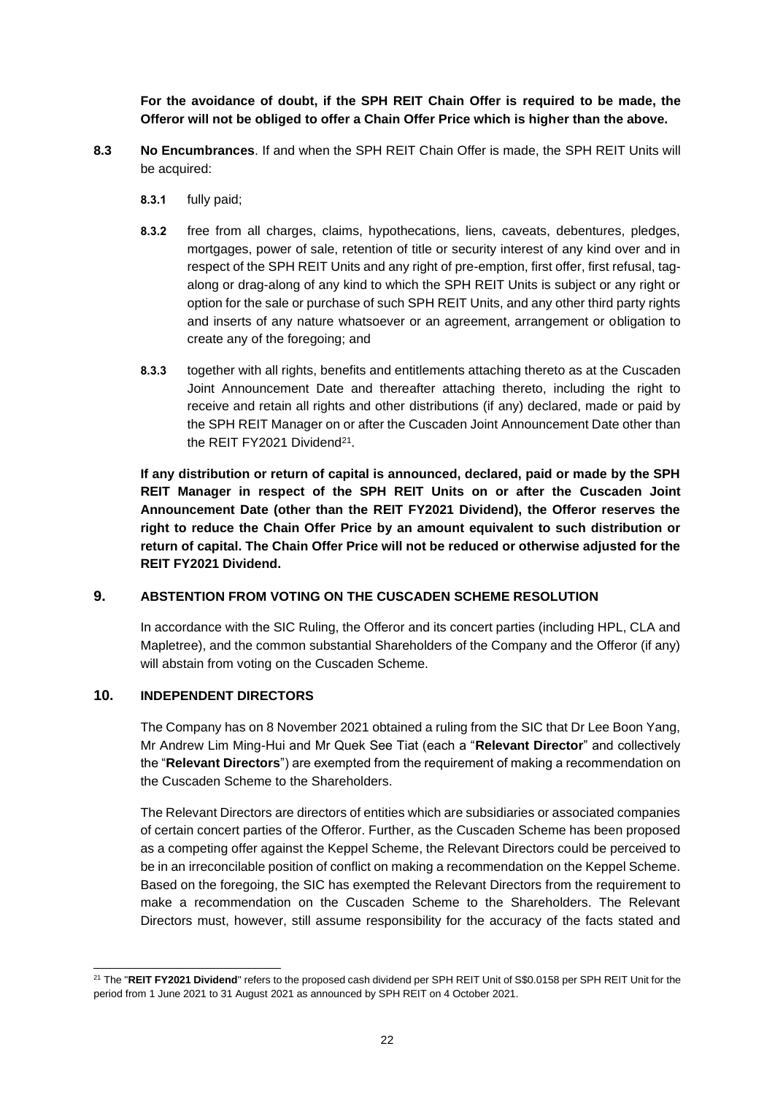**For the avoidance of doubt, if the SPH REIT Chain Offer is required to be made, the Offeror will not be obliged to offer a Chain Offer Price which is higher than the above.**

- **8.3 No Encumbrances**. If and when the SPH REIT Chain Offer is made, the SPH REIT Units will be acquired:
	- **8.3.1** fully paid;
	- **8.3.2** free from all charges, claims, hypothecations, liens, caveats, debentures, pledges, mortgages, power of sale, retention of title or security interest of any kind over and in respect of the SPH REIT Units and any right of pre-emption, first offer, first refusal, tagalong or drag-along of any kind to which the SPH REIT Units is subject or any right or option for the sale or purchase of such SPH REIT Units, and any other third party rights and inserts of any nature whatsoever or an agreement, arrangement or obligation to create any of the foregoing; and
	- **8.3.3** together with all rights, benefits and entitlements attaching thereto as at the Cuscaden Joint Announcement Date and thereafter attaching thereto, including the right to receive and retain all rights and other distributions (if any) declared, made or paid by the SPH REIT Manager on or after the Cuscaden Joint Announcement Date other than the REIT FY2021 Dividend<sup>21</sup>.

**If any distribution or return of capital is announced, declared, paid or made by the SPH REIT Manager in respect of the SPH REIT Units on or after the Cuscaden Joint Announcement Date (other than the REIT FY2021 Dividend), the Offeror reserves the right to reduce the Chain Offer Price by an amount equivalent to such distribution or return of capital. The Chain Offer Price will not be reduced or otherwise adjusted for the REIT FY2021 Dividend.**

### **9. ABSTENTION FROM VOTING ON THE CUSCADEN SCHEME RESOLUTION**

In accordance with the SIC Ruling, the Offeror and its concert parties (including HPL, CLA and Mapletree), and the common substantial Shareholders of the Company and the Offeror (if any) will abstain from voting on the Cuscaden Scheme.

## **10. INDEPENDENT DIRECTORS**

The Company has on 8 November 2021 obtained a ruling from the SIC that Dr Lee Boon Yang, Mr Andrew Lim Ming-Hui and Mr Quek See Tiat (each a "**Relevant Director**" and collectively the "**Relevant Directors**") are exempted from the requirement of making a recommendation on the Cuscaden Scheme to the Shareholders.

The Relevant Directors are directors of entities which are subsidiaries or associated companies of certain concert parties of the Offeror. Further, as the Cuscaden Scheme has been proposed as a competing offer against the Keppel Scheme, the Relevant Directors could be perceived to be in an irreconcilable position of conflict on making a recommendation on the Keppel Scheme. Based on the foregoing, the SIC has exempted the Relevant Directors from the requirement to make a recommendation on the Cuscaden Scheme to the Shareholders. The Relevant Directors must, however, still assume responsibility for the accuracy of the facts stated and

<sup>&</sup>lt;sup>21</sup> The "REIT FY2021 Dividend" refers to the proposed cash dividend per SPH REIT Unit of S\$0.0158 per SPH REIT Unit for the period from 1 June 2021 to 31 August 2021 as announced by SPH REIT on 4 October 2021.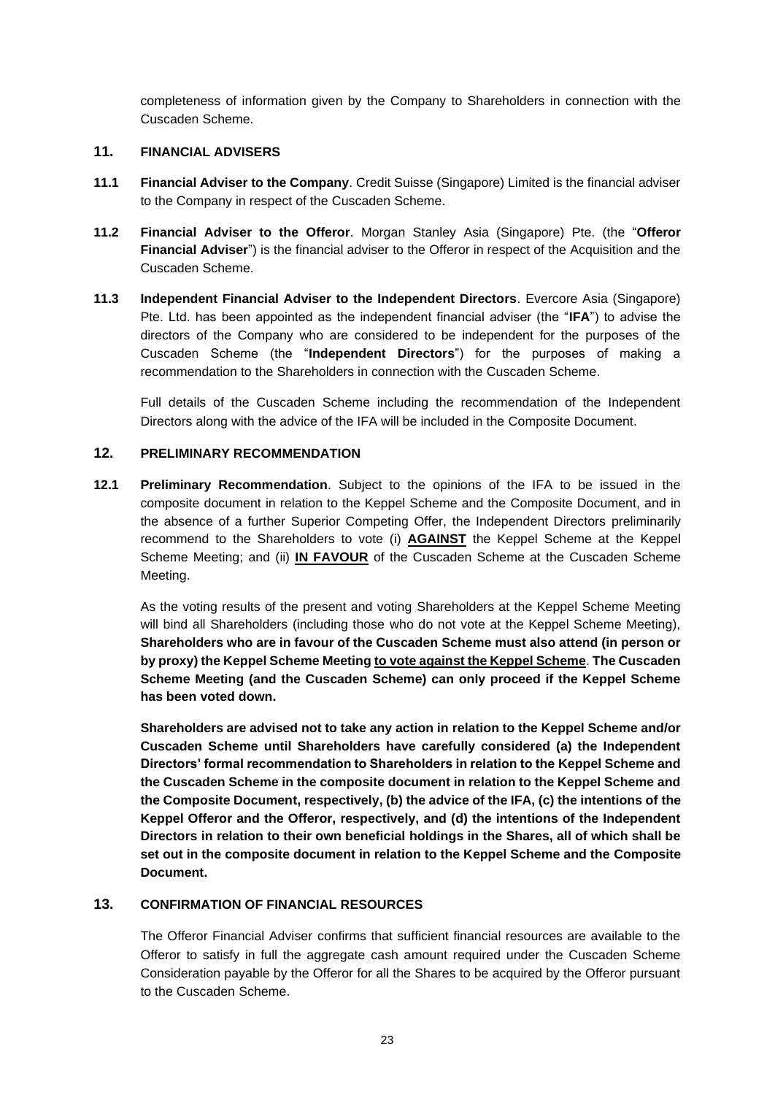completeness of information given by the Company to Shareholders in connection with the Cuscaden Scheme.

## **11. FINANCIAL ADVISERS**

- **11.1 Financial Adviser to the Company**. Credit Suisse (Singapore) Limited is the financial adviser to the Company in respect of the Cuscaden Scheme.
- **11.2 Financial Adviser to the Offeror**. Morgan Stanley Asia (Singapore) Pte. (the "**Offeror Financial Adviser**") is the financial adviser to the Offeror in respect of the Acquisition and the Cuscaden Scheme.
- **11.3 Independent Financial Adviser to the Independent Directors**. Evercore Asia (Singapore) Pte. Ltd. has been appointed as the independent financial adviser (the "**IFA**") to advise the directors of the Company who are considered to be independent for the purposes of the Cuscaden Scheme (the "**Independent Directors**") for the purposes of making a recommendation to the Shareholders in connection with the Cuscaden Scheme.

Full details of the Cuscaden Scheme including the recommendation of the Independent Directors along with the advice of the IFA will be included in the Composite Document.

## <span id="page-22-0"></span>**12. PRELIMINARY RECOMMENDATION**

**12.1 Preliminary Recommendation**. Subject to the opinions of the IFA to be issued in the composite document in relation to the Keppel Scheme and the Composite Document, and in the absence of a further Superior Competing Offer, the Independent Directors preliminarily recommend to the Shareholders to vote (i) **AGAINST** the Keppel Scheme at the Keppel Scheme Meeting; and (ii) **IN FAVOUR** of the Cuscaden Scheme at the Cuscaden Scheme Meeting.

As the voting results of the present and voting Shareholders at the Keppel Scheme Meeting will bind all Shareholders (including those who do not vote at the Keppel Scheme Meeting), **Shareholders who are in favour of the Cuscaden Scheme must also attend (in person or by proxy) the Keppel Scheme Meeting to vote against the Keppel Scheme**. **The Cuscaden Scheme Meeting (and the Cuscaden Scheme) can only proceed if the Keppel Scheme has been voted down.**

**Shareholders are advised not to take any action in relation to the Keppel Scheme and/or Cuscaden Scheme until Shareholders have carefully considered (a) the Independent Directors' formal recommendation to Shareholders in relation to the Keppel Scheme and the Cuscaden Scheme in the composite document in relation to the Keppel Scheme and the Composite Document, respectively, (b) the advice of the IFA, (c) the intentions of the Keppel Offeror and the Offeror, respectively, and (d) the intentions of the Independent Directors in relation to their own beneficial holdings in the Shares, all of which shall be set out in the composite document in relation to the Keppel Scheme and the Composite Document.**

## **13. CONFIRMATION OF FINANCIAL RESOURCES**

The Offeror Financial Adviser confirms that sufficient financial resources are available to the Offeror to satisfy in full the aggregate cash amount required under the Cuscaden Scheme Consideration payable by the Offeror for all the Shares to be acquired by the Offeror pursuant to the Cuscaden Scheme.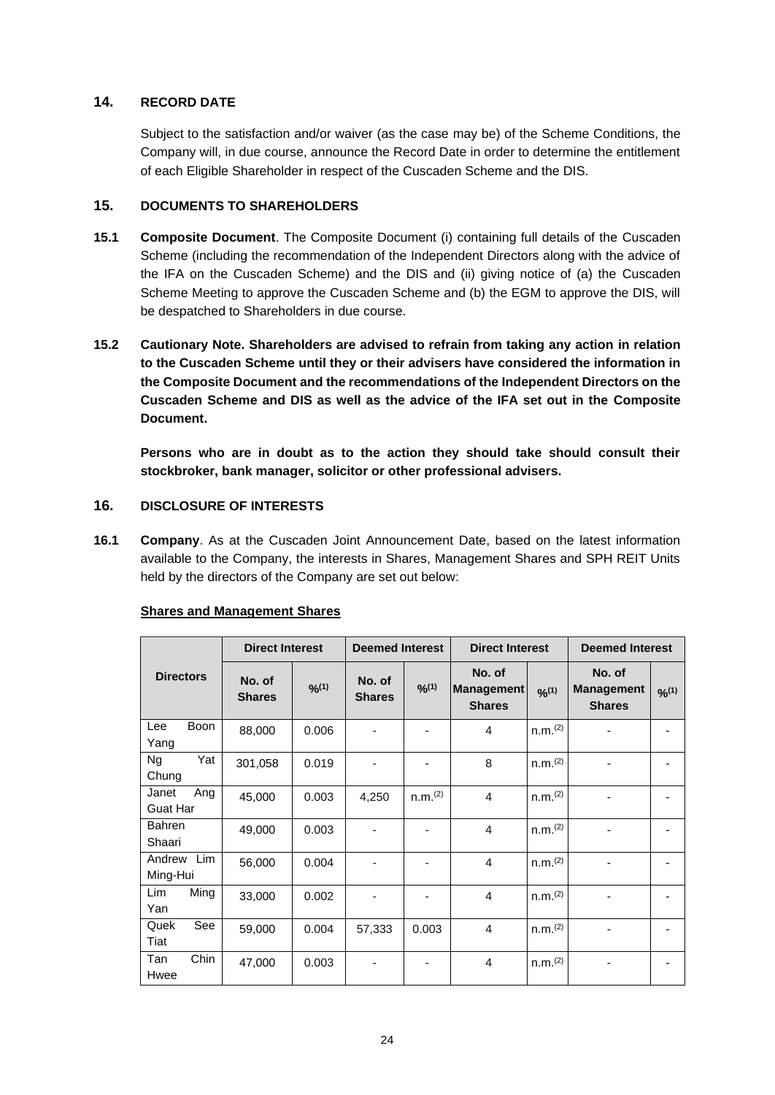## **14. RECORD DATE**

Subject to the satisfaction and/or waiver (as the case may be) of the Scheme Conditions, the Company will, in due course, announce the Record Date in order to determine the entitlement of each Eligible Shareholder in respect of the Cuscaden Scheme and the DIS.

### **15. DOCUMENTS TO SHAREHOLDERS**

- **15.1 Composite Document**. The Composite Document (i) containing full details of the Cuscaden Scheme (including the recommendation of the Independent Directors along with the advice of the IFA on the Cuscaden Scheme) and the DIS and (ii) giving notice of (a) the Cuscaden Scheme Meeting to approve the Cuscaden Scheme and (b) the EGM to approve the DIS, will be despatched to Shareholders in due course.
- **15.2 Cautionary Note. Shareholders are advised to refrain from taking any action in relation to the Cuscaden Scheme until they or their advisers have considered the information in the Composite Document and the recommendations of the Independent Directors on the Cuscaden Scheme and DIS as well as the advice of the IFA set out in the Composite Document.**

**Persons who are in doubt as to the action they should take should consult their stockbroker, bank manager, solicitor or other professional advisers.**

# **16. DISCLOSURE OF INTERESTS**

<span id="page-23-0"></span>**16.1 Company**. As at the Cuscaden Joint Announcement Date, based on the latest information available to the Company, the interests in Shares, Management Shares and SPH REIT Units held by the directors of the Company are set out below:

|                                 | <b>Direct Interest</b>  |        | <b>Deemed Interest</b>  |                     | <b>Direct Interest</b>                       |                     | <b>Deemed Interest</b>                       |        |
|---------------------------------|-------------------------|--------|-------------------------|---------------------|----------------------------------------------|---------------------|----------------------------------------------|--------|
| <b>Directors</b>                | No. of<br><b>Shares</b> | 9/6(1) | No. of<br><b>Shares</b> | 9/6(1)              | No. of<br><b>Management</b><br><b>Shares</b> | 9/2(1)              | No. of<br><b>Management</b><br><b>Shares</b> | 9/6(1) |
| Boon<br>Lee<br>Yang             | 88,000                  | 0.006  |                         |                     | 4                                            | n.m. <sup>(2)</sup> |                                              |        |
| Yat<br><b>Ng</b><br>Chung       | 301,058                 | 0.019  |                         |                     | 8                                            | n.m. <sup>(2)</sup> |                                              |        |
| Ang<br>Janet<br><b>Guat Har</b> | 45,000                  | 0.003  | 4,250                   | n.m. <sup>(2)</sup> | 4                                            | n.m. <sup>(2)</sup> |                                              |        |
| <b>Bahren</b><br>Shaari         | 49,000                  | 0.003  |                         |                     | 4                                            | n.m. <sup>(2)</sup> |                                              |        |
| Andrew<br>Lim<br>Ming-Hui       | 56,000                  | 0.004  |                         | ۰                   | 4                                            | n.m. <sup>(2)</sup> |                                              |        |
| <b>Lim</b><br>Ming<br>Yan       | 33,000                  | 0.002  |                         |                     | 4                                            | n.m. <sup>(2)</sup> |                                              |        |
| Quek<br>See<br>Tiat             | 59,000                  | 0.004  | 57,333                  | 0.003               | 4                                            | n.m. <sup>(2)</sup> |                                              |        |
| Chin<br>Tan<br>Hwee             | 47,000                  | 0.003  |                         |                     | $\overline{4}$                               | n.m. <sup>(2)</sup> |                                              |        |

### **Shares and Management Shares**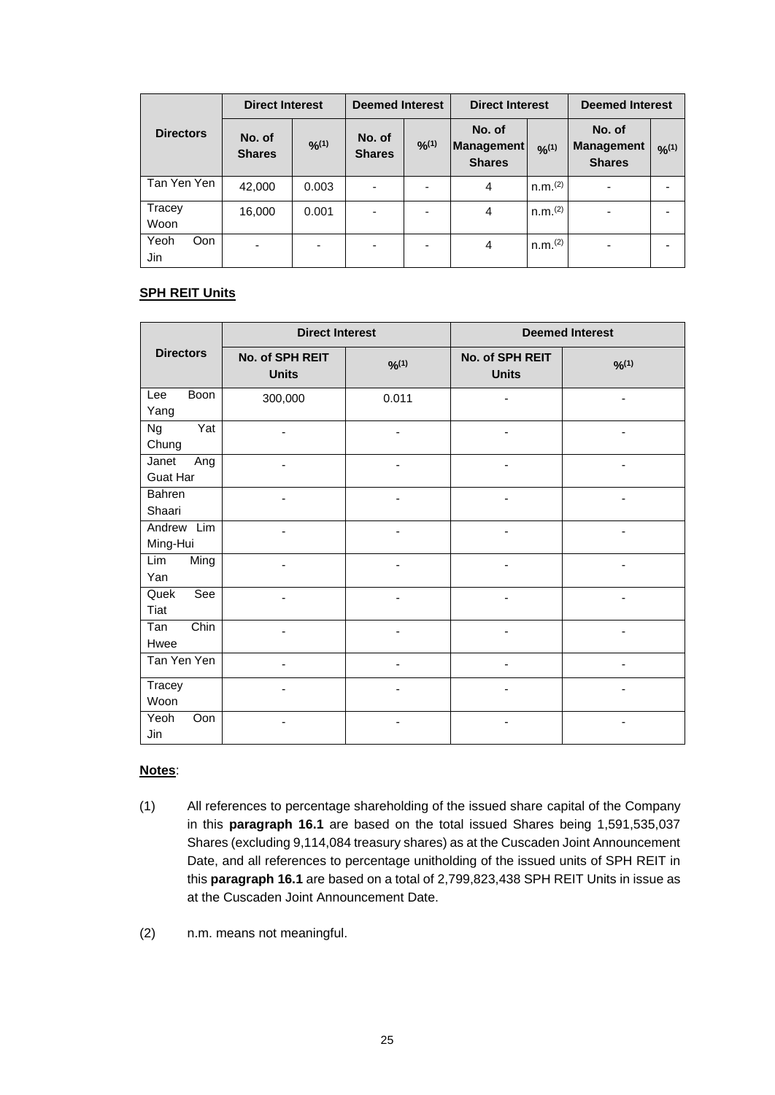|                    | <b>Direct Interest</b>   |                          | <b>Deemed Interest</b>  |                | <b>Direct Interest</b>                       |                     | <b>Deemed Interest</b>                       |        |
|--------------------|--------------------------|--------------------------|-------------------------|----------------|----------------------------------------------|---------------------|----------------------------------------------|--------|
| <b>Directors</b>   | No. of<br><b>Shares</b>  | $O_{10}'(1)$             | No. of<br><b>Shares</b> | $9/0^{(1)}$    | No. of<br><b>Management</b><br><b>Shares</b> | $O_{n}(1)$          | No. of<br><b>Management</b><br><b>Shares</b> | 9/2(1) |
| Tan Yen Yen        | 42,000                   | 0.003                    | ٠                       | $\blacksquare$ | 4                                            | n.m. <sup>(2)</sup> | $\blacksquare$                               |        |
| Tracey<br>Woon     | 16,000                   | 0.001                    | ۰                       | ۰              | 4                                            | n.m. <sup>(2)</sup> | -                                            |        |
| Yeoh<br>Oon<br>Jin | $\overline{\phantom{0}}$ | $\overline{\phantom{0}}$ | ۰                       | -              | 4                                            | n.m. <sup>(2)</sup> | ۰                                            |        |

## **SPH REIT Units**

|                            | <b>Direct Interest</b>          |                          | <b>Deemed Interest</b>          |                |  |
|----------------------------|---------------------------------|--------------------------|---------------------------------|----------------|--|
| <b>Directors</b>           | No. of SPH REIT<br><b>Units</b> | 9/6(1)                   | No. of SPH REIT<br><b>Units</b> | 9/6(1)         |  |
| <b>Boon</b><br>Lee<br>Yang | 300,000                         | 0.011                    |                                 |                |  |
| Yat<br><b>Ng</b><br>Chung  |                                 |                          |                                 |                |  |
| Janet<br>Ang<br>Guat Har   |                                 |                          |                                 |                |  |
| Bahren<br>Shaari           |                                 |                          |                                 |                |  |
| Andrew Lim<br>Ming-Hui     |                                 |                          |                                 |                |  |
| Lim<br>Ming<br>Yan         |                                 |                          |                                 |                |  |
| See<br>Quek<br>Tiat        |                                 |                          |                                 |                |  |
| Chin<br>Tan<br>Hwee        |                                 | $\overline{\phantom{a}}$ | ٠                               | $\blacksquare$ |  |
| Tan Yen Yen                |                                 | $\overline{\phantom{a}}$ | ٠                               | -              |  |
| Tracey<br>Woon             |                                 |                          |                                 |                |  |
| Oon<br>Yeoh<br>Jin         |                                 |                          |                                 |                |  |

### **Notes**:

- (1) All references to percentage shareholding of the issued share capital of the Company in this **paragraph [16.1](#page-23-0)** are based on the total issued Shares being 1,591,535,037 Shares (excluding 9,114,084 treasury shares) as at the Cuscaden Joint Announcement Date, and all references to percentage unitholding of the issued units of SPH REIT in this **paragraph [16.1](#page-23-0)** are based on a total of 2,799,823,438 SPH REIT Units in issue as at the Cuscaden Joint Announcement Date.
- (2) n.m. means not meaningful.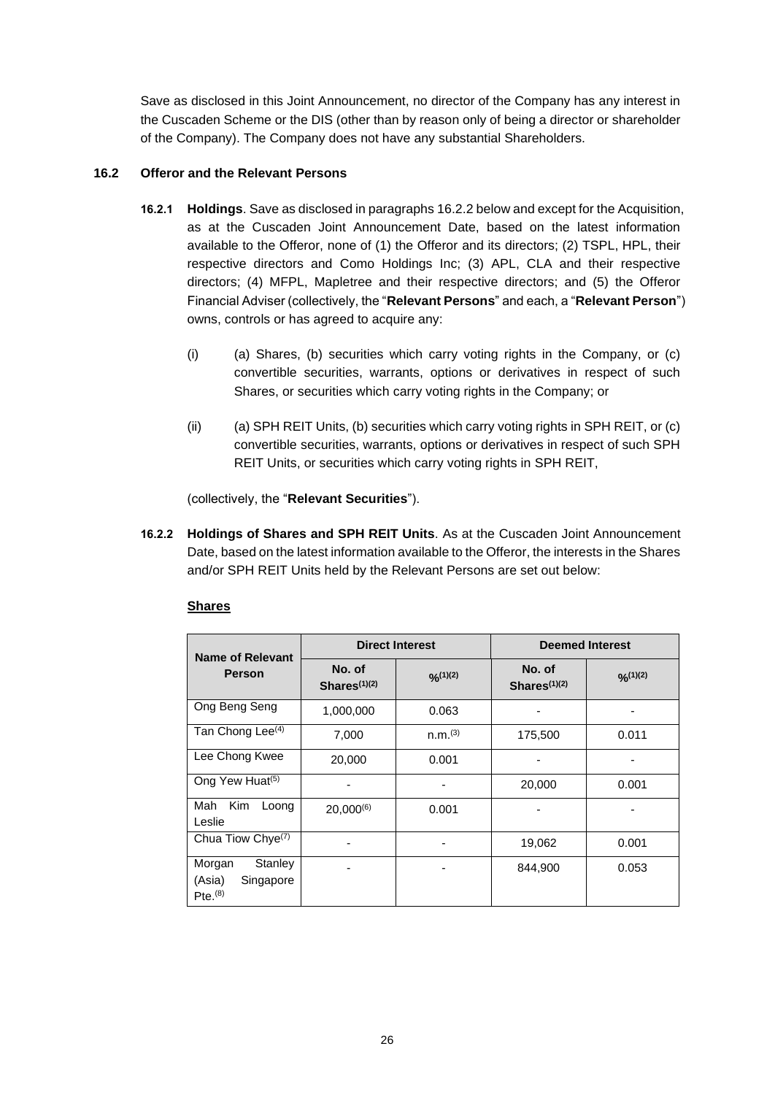Save as disclosed in this Joint Announcement, no director of the Company has any interest in the Cuscaden Scheme or the DIS (other than by reason only of being a director or shareholder of the Company). The Company does not have any substantial Shareholders.

## **16.2 Offeror and the Relevant Persons**

- **16.2.1 Holdings**. Save as disclosed in paragraphs [16.2.2](#page-25-0) below and except for the Acquisition, as at the Cuscaden Joint Announcement Date, based on the latest information available to the Offeror, none of (1) the Offeror and its directors; (2) TSPL, HPL, their respective directors and Como Holdings Inc; (3) APL, CLA and their respective directors; (4) MFPL, Mapletree and their respective directors; and (5) the Offeror Financial Adviser (collectively, the "**Relevant Persons**" and each, a "**Relevant Person**") owns, controls or has agreed to acquire any:
	- $(i)$  (a) Shares, (b) securities which carry voting rights in the Company, or  $(c)$ convertible securities, warrants, options or derivatives in respect of such Shares, or securities which carry voting rights in the Company; or
	- $(ii)$  (a) SPH REIT Units, (b) securities which carry voting rights in SPH REIT, or (c) convertible securities, warrants, options or derivatives in respect of such SPH REIT Units, or securities which carry voting rights in SPH REIT,

(collectively, the "**Relevant Securities**").

<span id="page-25-0"></span>**16.2.2 Holdings of Shares and SPH REIT Units**. As at the Cuscaden Joint Announcement Date, based on the latest information available to the Offeror, the interests in the Shares and/or SPH REIT Units held by the Relevant Persons are set out below:

| <b>Name of Relevant</b>                                           |                           | <b>Direct Interest</b> | <b>Deemed Interest</b>             |             |  |
|-------------------------------------------------------------------|---------------------------|------------------------|------------------------------------|-------------|--|
| <b>Person</b>                                                     | No. of<br>Shares $(1)(2)$ | $O_{n}(1)(2)$          | No. of<br>Shares <sup>(1)(2)</sup> | $O_n(1)(2)$ |  |
| Ong Beng Seng                                                     | 1,000,000                 | 0.063                  |                                    |             |  |
| Tan Chong Lee <sup>(4)</sup>                                      | 7,000                     | n.m. <sup>(3)</sup>    | 175,500                            | 0.011       |  |
| Lee Chong Kwee                                                    | 20,000                    | 0.001                  |                                    |             |  |
| Ong Yew Huat <sup>(5)</sup>                                       |                           |                        | 20,000                             | 0.001       |  |
| Kim<br>Mah<br>Loong<br>Leslie                                     | $20,000^{(6)}$            | 0.001                  |                                    |             |  |
| Chua Tiow Chye <sup>(7)</sup>                                     |                           |                        | 19,062                             | 0.001       |  |
| Stanley<br>Morgan<br>Singapore<br>(Asia)<br>$Pte.$ <sup>(8)</sup> |                           |                        | 844,900                            | 0.053       |  |

## **Shares**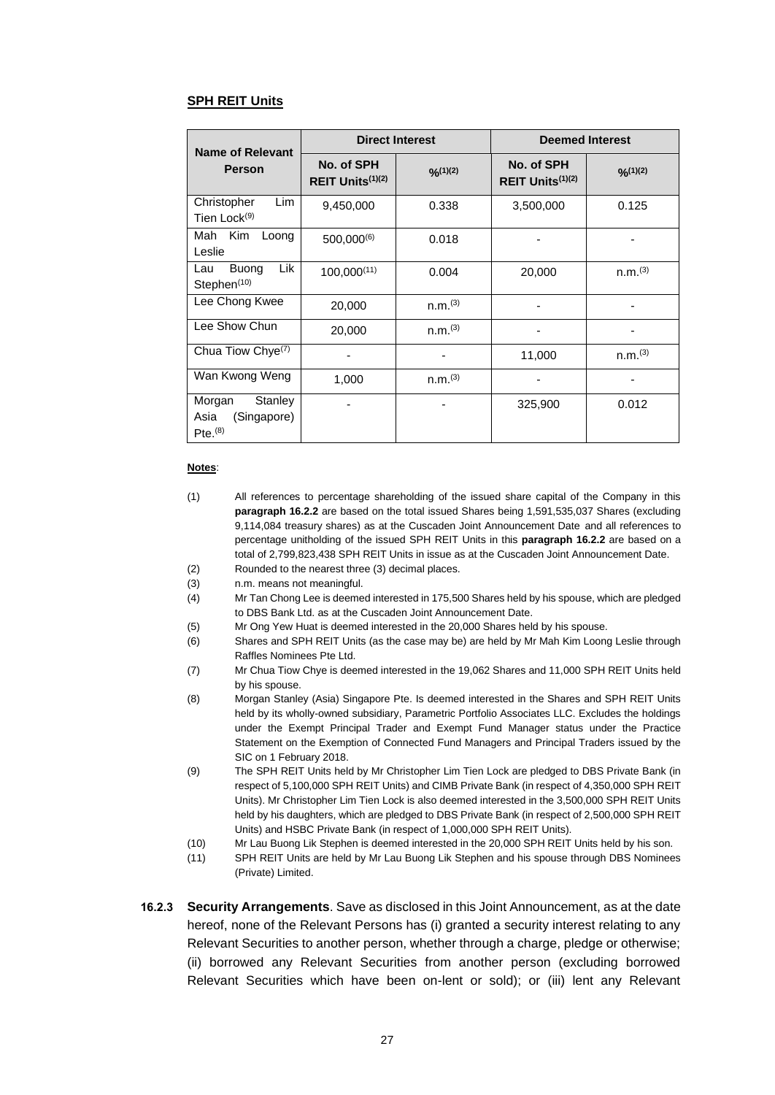#### **SPH REIT Units**

| <b>Name of Relevant</b>                                           |                                            | <b>Direct Interest</b> | <b>Deemed Interest</b>                     |                     |  |
|-------------------------------------------------------------------|--------------------------------------------|------------------------|--------------------------------------------|---------------------|--|
| <b>Person</b>                                                     | No. of SPH<br>REIT Units <sup>(1)(2)</sup> | O(1)(2)                | No. of SPH<br>REIT Units <sup>(1)(2)</sup> | $O_{n}(1)(2)$       |  |
| Lim<br>Christopher<br>Tien Lock <sup>(9)</sup>                    | 9,450,000                                  | 0.338                  | 3,500,000                                  | 0.125               |  |
| Kim<br>Mah<br>Loong<br>Leslie                                     | $500,000^{(6)}$                            | 0.018                  |                                            |                     |  |
| Lik<br><b>Buong</b><br>Lau<br>Stephen <sup>(10)</sup>             | $100,000^{(11)}$                           | 0.004                  | 20,000                                     | n.m. <sup>(3)</sup> |  |
| Lee Chong Kwee                                                    | 20,000                                     | n.m. <sup>(3)</sup>    |                                            |                     |  |
| Lee Show Chun                                                     | 20,000                                     | n.m. <sup>(3)</sup>    |                                            |                     |  |
| Chua Tiow Chye <sup>(7)</sup>                                     |                                            |                        | 11,000                                     | n.m. <sup>(3)</sup> |  |
| Wan Kwong Weng                                                    | 1,000                                      | n.m. <sup>(3)</sup>    |                                            |                     |  |
| Stanley<br>Morgan<br>(Singapore)<br>Asia<br>$Pte.$ <sup>(8)</sup> |                                            |                        | 325,900                                    | 0.012               |  |

#### **Notes**:

- (1) All references to percentage shareholding of the issued share capital of the Company in this **paragraph [16.2.2](#page-25-0)** are based on the total issued Shares being 1,591,535,037 Shares (excluding 9,114,084 treasury shares) as at the Cuscaden Joint Announcement Date and all references to percentage unitholding of the issued SPH REIT Units in this **paragraph [16.2.2](#page-25-0)** are based on a total of 2,799,823,438 SPH REIT Units in issue as at the Cuscaden Joint Announcement Date. (2) Rounded to the nearest three (3) decimal places.
- 
- (3) n.m. means not meaningful.
- (4) Mr Tan Chong Lee is deemed interested in 175,500 Shares held by his spouse, which are pledged to DBS Bank Ltd. as at the Cuscaden Joint Announcement Date.
- (5) Mr Ong Yew Huat is deemed interested in the 20,000 Shares held by his spouse.
- (6) Shares and SPH REIT Units (as the case may be) are held by Mr Mah Kim Loong Leslie through Raffles Nominees Pte Ltd.
- (7) Mr Chua Tiow Chye is deemed interested in the 19,062 Shares and 11,000 SPH REIT Units held by his spouse.
- (8) Morgan Stanley (Asia) Singapore Pte. Is deemed interested in the Shares and SPH REIT Units held by its wholly-owned subsidiary, Parametric Portfolio Associates LLC. Excludes the holdings under the Exempt Principal Trader and Exempt Fund Manager status under the Practice Statement on the Exemption of Connected Fund Managers and Principal Traders issued by the SIC on 1 February 2018.
- (9) The SPH REIT Units held by Mr Christopher Lim Tien Lock are pledged to DBS Private Bank (in respect of 5,100,000 SPH REIT Units) and CIMB Private Bank (in respect of 4,350,000 SPH REIT Units). Mr Christopher Lim Tien Lock is also deemed interested in the 3,500,000 SPH REIT Units held by his daughters, which are pledged to DBS Private Bank (in respect of 2,500,000 SPH REIT Units) and HSBC Private Bank (in respect of 1,000,000 SPH REIT Units).
- (10) Mr Lau Buong Lik Stephen is deemed interested in the 20,000 SPH REIT Units held by his son.
- (11) SPH REIT Units are held by Mr Lau Buong Lik Stephen and his spouse through DBS Nominees (Private) Limited.
- **16.2.3 Security Arrangements**. Save as disclosed in this Joint Announcement, as at the date hereof, none of the Relevant Persons has (i) granted a security interest relating to any Relevant Securities to another person, whether through a charge, pledge or otherwise; (ii) borrowed any Relevant Securities from another person (excluding borrowed Relevant Securities which have been on-lent or sold); or (iii) lent any Relevant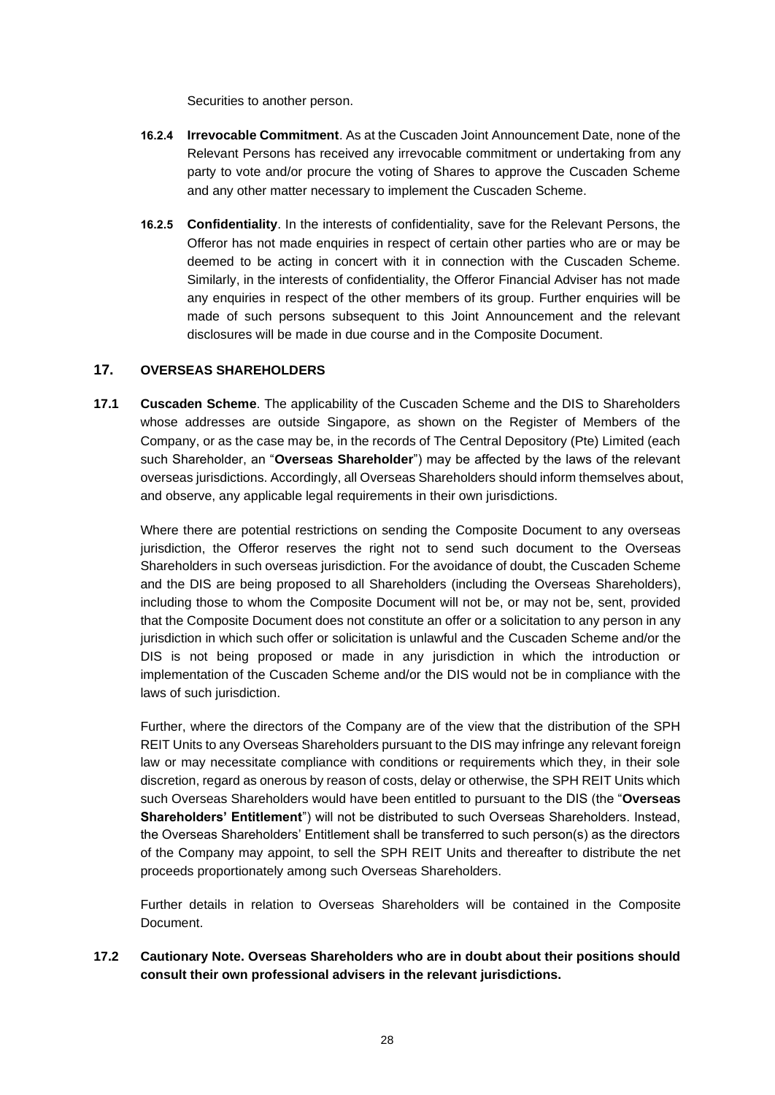Securities to another person.

- **16.2.4 Irrevocable Commitment**. As at the Cuscaden Joint Announcement Date, none of the Relevant Persons has received any irrevocable commitment or undertaking from any party to vote and/or procure the voting of Shares to approve the Cuscaden Scheme and any other matter necessary to implement the Cuscaden Scheme.
- **16.2.5 Confidentiality**. In the interests of confidentiality, save for the Relevant Persons, the Offeror has not made enquiries in respect of certain other parties who are or may be deemed to be acting in concert with it in connection with the Cuscaden Scheme. Similarly, in the interests of confidentiality, the Offeror Financial Adviser has not made any enquiries in respect of the other members of its group. Further enquiries will be made of such persons subsequent to this Joint Announcement and the relevant disclosures will be made in due course and in the Composite Document.

## **17. OVERSEAS SHAREHOLDERS**

**17.1 Cuscaden Scheme**. The applicability of the Cuscaden Scheme and the DIS to Shareholders whose addresses are outside Singapore, as shown on the Register of Members of the Company, or as the case may be, in the records of The Central Depository (Pte) Limited (each such Shareholder, an "**Overseas Shareholder**") may be affected by the laws of the relevant overseas jurisdictions. Accordingly, all Overseas Shareholders should inform themselves about, and observe, any applicable legal requirements in their own jurisdictions.

Where there are potential restrictions on sending the Composite Document to any overseas jurisdiction, the Offeror reserves the right not to send such document to the Overseas Shareholders in such overseas jurisdiction. For the avoidance of doubt, the Cuscaden Scheme and the DIS are being proposed to all Shareholders (including the Overseas Shareholders), including those to whom the Composite Document will not be, or may not be, sent, provided that the Composite Document does not constitute an offer or a solicitation to any person in any jurisdiction in which such offer or solicitation is unlawful and the Cuscaden Scheme and/or the DIS is not being proposed or made in any jurisdiction in which the introduction or implementation of the Cuscaden Scheme and/or the DIS would not be in compliance with the laws of such jurisdiction.

Further, where the directors of the Company are of the view that the distribution of the SPH REIT Units to any Overseas Shareholders pursuant to the DIS may infringe any relevant foreign law or may necessitate compliance with conditions or requirements which they, in their sole discretion, regard as onerous by reason of costs, delay or otherwise, the SPH REIT Units which such Overseas Shareholders would have been entitled to pursuant to the DIS (the "**Overseas Shareholders' Entitlement**") will not be distributed to such Overseas Shareholders. Instead, the Overseas Shareholders' Entitlement shall be transferred to such person(s) as the directors of the Company may appoint, to sell the SPH REIT Units and thereafter to distribute the net proceeds proportionately among such Overseas Shareholders.

Further details in relation to Overseas Shareholders will be contained in the Composite Document.

**17.2 Cautionary Note. Overseas Shareholders who are in doubt about their positions should consult their own professional advisers in the relevant jurisdictions.**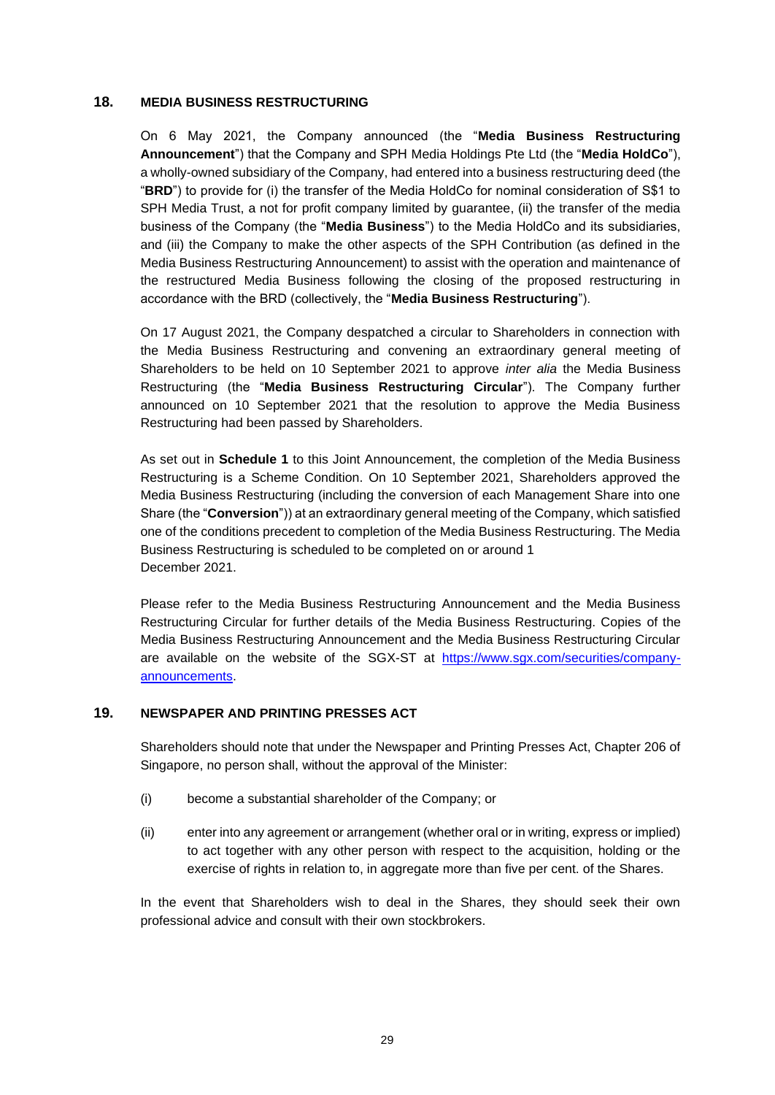#### **18. MEDIA BUSINESS RESTRUCTURING**

On 6 May 2021, the Company announced (the "**Media Business Restructuring Announcement**") that the Company and SPH Media Holdings Pte Ltd (the "**Media HoldCo**"), a wholly-owned subsidiary of the Company, had entered into a business restructuring deed (the "**BRD**") to provide for (i) the transfer of the Media HoldCo for nominal consideration of S\$1 to SPH Media Trust, a not for profit company limited by guarantee, (ii) the transfer of the media business of the Company (the "**Media Business**") to the Media HoldCo and its subsidiaries, and (iii) the Company to make the other aspects of the SPH Contribution (as defined in the Media Business Restructuring Announcement) to assist with the operation and maintenance of the restructured Media Business following the closing of the proposed restructuring in accordance with the BRD (collectively, the "**Media Business Restructuring**").

On 17 August 2021, the Company despatched a circular to Shareholders in connection with the Media Business Restructuring and convening an extraordinary general meeting of Shareholders to be held on 10 September 2021 to approve *inter alia* the Media Business Restructuring (the "**Media Business Restructuring Circular**"). The Company further announced on 10 September 2021 that the resolution to approve the Media Business Restructuring had been passed by Shareholders.

As set out in **Schedule 1** to this Joint Announcement, the completion of the Media Business Restructuring is a Scheme Condition. On 10 September 2021, Shareholders approved the Media Business Restructuring (including the conversion of each Management Share into one Share (the "**Conversion**")) at an extraordinary general meeting of the Company, which satisfied one of the conditions precedent to completion of the Media Business Restructuring. The Media Business Restructuring is scheduled to be completed on or around 1 December 2021.

Please refer to the Media Business Restructuring Announcement and the Media Business Restructuring Circular for further details of the Media Business Restructuring. Copies of the Media Business Restructuring Announcement and the Media Business Restructuring Circular are available on the website of the SGX-ST at [https://www.sgx.com/securities/company](https://www.sgx.com/securities/company-announcements)[announcements.](https://www.sgx.com/securities/company-announcements)

### **19. NEWSPAPER AND PRINTING PRESSES ACT**

Shareholders should note that under the Newspaper and Printing Presses Act, Chapter 206 of Singapore, no person shall, without the approval of the Minister:

- (i) become a substantial shareholder of the Company; or
- (ii) enter into any agreement or arrangement (whether oral or in writing, express or implied) to act together with any other person with respect to the acquisition, holding or the exercise of rights in relation to, in aggregate more than five per cent. of the Shares.

In the event that Shareholders wish to deal in the Shares, they should seek their own professional advice and consult with their own stockbrokers.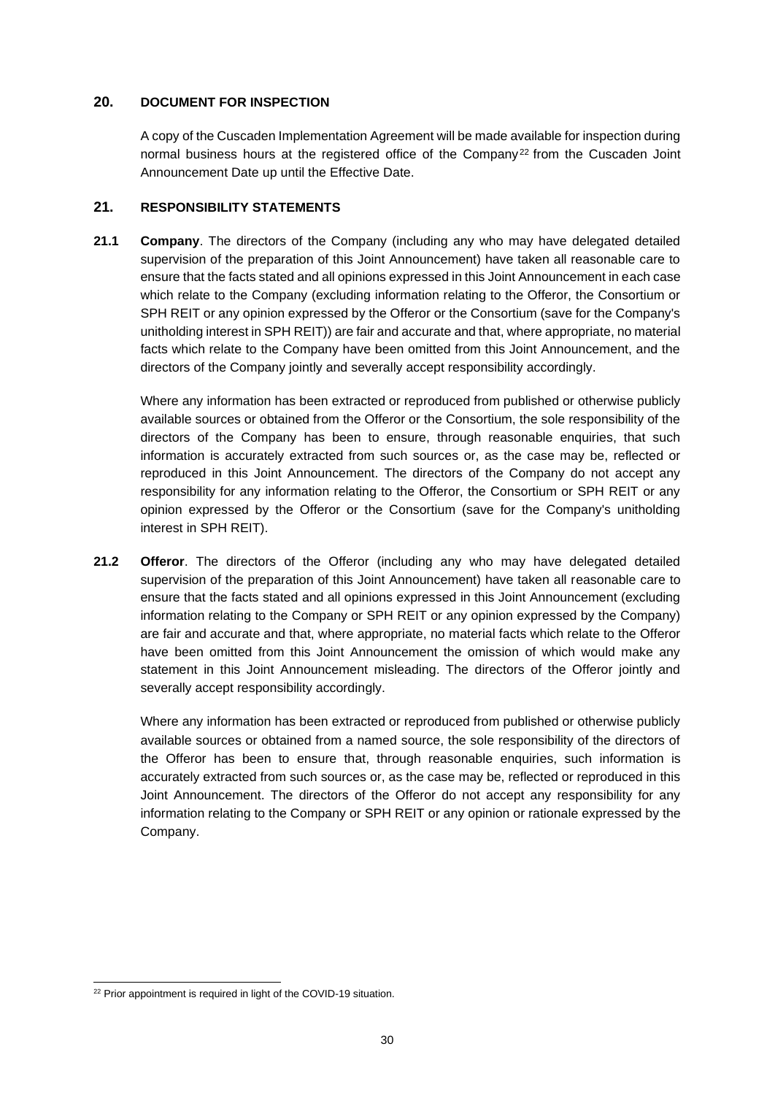### **20. DOCUMENT FOR INSPECTION**

A copy of the Cuscaden Implementation Agreement will be made available for inspection during normal business hours at the registered office of the Company<sup>22</sup> from the Cuscaden Joint Announcement Date up until the Effective Date.

## **21. RESPONSIBILITY STATEMENTS**

**21.1 Company**. The directors of the Company (including any who may have delegated detailed supervision of the preparation of this Joint Announcement) have taken all reasonable care to ensure that the facts stated and all opinions expressed in this Joint Announcement in each case which relate to the Company (excluding information relating to the Offeror, the Consortium or SPH REIT or any opinion expressed by the Offeror or the Consortium (save for the Company's unitholding interest in SPH REIT)) are fair and accurate and that, where appropriate, no material facts which relate to the Company have been omitted from this Joint Announcement, and the directors of the Company jointly and severally accept responsibility accordingly.

Where any information has been extracted or reproduced from published or otherwise publicly available sources or obtained from the Offeror or the Consortium, the sole responsibility of the directors of the Company has been to ensure, through reasonable enquiries, that such information is accurately extracted from such sources or, as the case may be, reflected or reproduced in this Joint Announcement. The directors of the Company do not accept any responsibility for any information relating to the Offeror, the Consortium or SPH REIT or any opinion expressed by the Offeror or the Consortium (save for the Company's unitholding interest in SPH REIT).

**21.2 Offeror**. The directors of the Offeror (including any who may have delegated detailed supervision of the preparation of this Joint Announcement) have taken all reasonable care to ensure that the facts stated and all opinions expressed in this Joint Announcement (excluding information relating to the Company or SPH REIT or any opinion expressed by the Company) are fair and accurate and that, where appropriate, no material facts which relate to the Offeror have been omitted from this Joint Announcement the omission of which would make any statement in this Joint Announcement misleading. The directors of the Offeror jointly and severally accept responsibility accordingly.

Where any information has been extracted or reproduced from published or otherwise publicly available sources or obtained from a named source, the sole responsibility of the directors of the Offeror has been to ensure that, through reasonable enquiries, such information is accurately extracted from such sources or, as the case may be, reflected or reproduced in this Joint Announcement. The directors of the Offeror do not accept any responsibility for any information relating to the Company or SPH REIT or any opinion or rationale expressed by the Company.

<sup>&</sup>lt;sup>22</sup> Prior appointment is required in light of the COVID-19 situation.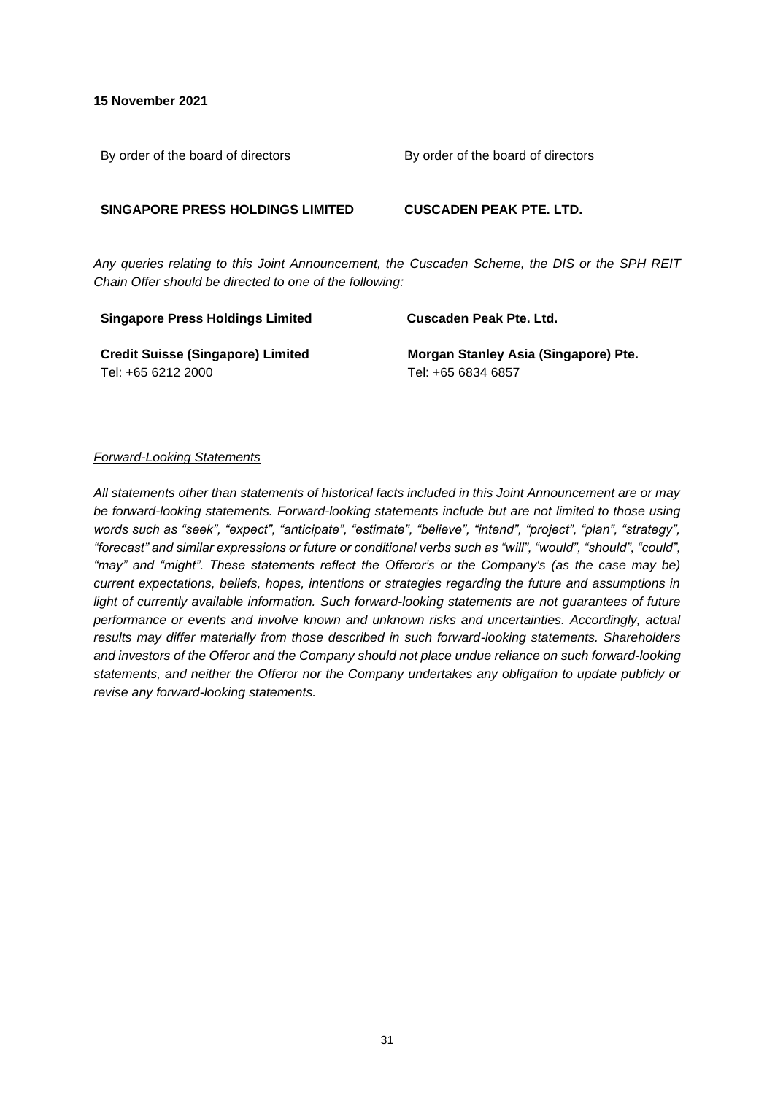**15 November 2021**

By order of the board of directors By order of the board of directors

#### **SINGAPORE PRESS HOLDINGS LIMITED CUSCADEN PEAK PTE. LTD.**

**Stanley Asia (Singapore) Pte.** 

*Any queries relating to this Joint Announcement, the Cuscaden Scheme, the DIS or the SPH REIT Chain Offer should be directed to one of the following:*

| <b>Singapore Press Holdings Limited</b>  | Cuscaden Peak Pte. Ltd.         |  |  |
|------------------------------------------|---------------------------------|--|--|
| <b>Credit Suisse (Singapore) Limited</b> | <b>Morgan Stanley Asia (Sir</b> |  |  |
| Tel: +65 6212 2000                       | Tel: +65 6834 6857              |  |  |

#### *Forward-Looking Statements*

*All statements other than statements of historical facts included in this Joint Announcement are or may be forward-looking statements. Forward-looking statements include but are not limited to those using words such as "seek", "expect", "anticipate", "estimate", "believe", "intend", "project", "plan", "strategy", "forecast" and similar expressions or future or conditional verbs such as "will", "would", "should", "could", "may" and "might". These statements reflect the Offeror's or the Company's (as the case may be) current expectations, beliefs, hopes, intentions or strategies regarding the future and assumptions in*  light of currently available information. Such forward-looking statements are not guarantees of future *performance or events and involve known and unknown risks and uncertainties. Accordingly, actual results may differ materially from those described in such forward-looking statements. Shareholders and investors of the Offeror and the Company should not place undue reliance on such forward-looking statements, and neither the Offeror nor the Company undertakes any obligation to update publicly or revise any forward-looking statements.*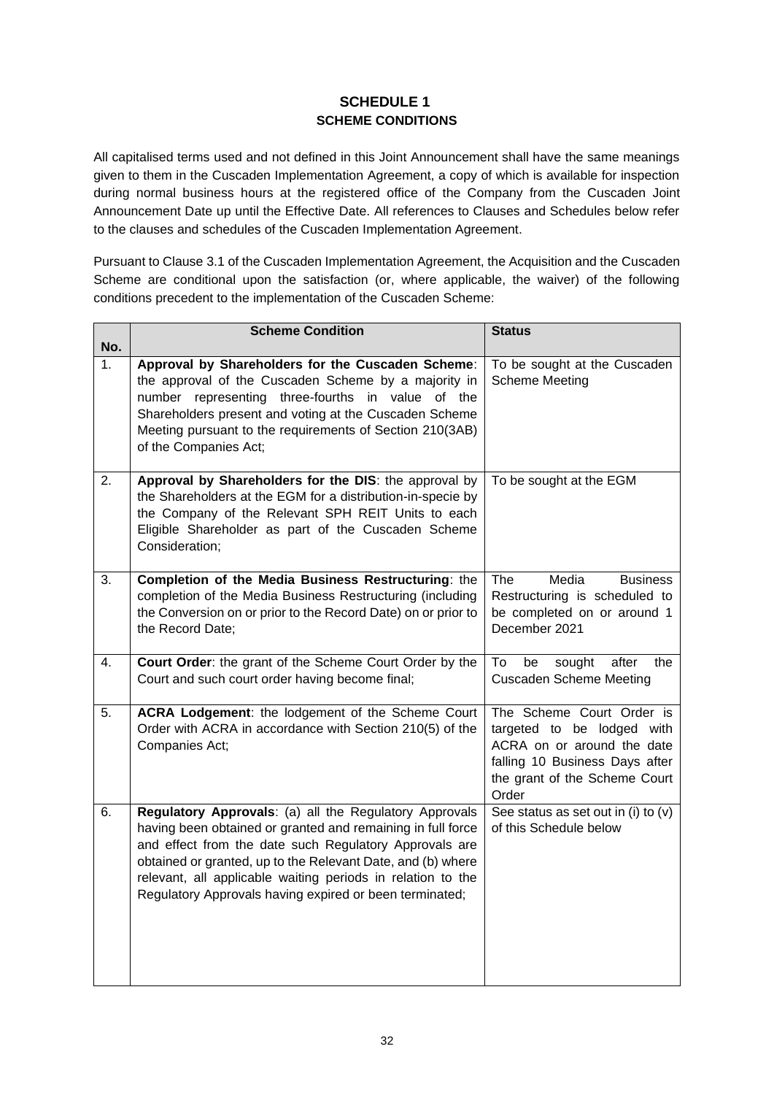# **SCHEDULE 1 SCHEME CONDITIONS**

All capitalised terms used and not defined in this Joint Announcement shall have the same meanings given to them in the Cuscaden Implementation Agreement, a copy of which is available for inspection during normal business hours at the registered office of the Company from the Cuscaden Joint Announcement Date up until the Effective Date. All references to Clauses and Schedules below refer to the clauses and schedules of the Cuscaden Implementation Agreement.

Pursuant to Clause 3.1 of the Cuscaden Implementation Agreement, the Acquisition and the Cuscaden Scheme are conditional upon the satisfaction (or, where applicable, the waiver) of the following conditions precedent to the implementation of the Cuscaden Scheme:

| No.              | <b>Scheme Condition</b>                                                                                                                                                                                                                                                                                                                                                  | <b>Status</b>                                                                                                                                                     |
|------------------|--------------------------------------------------------------------------------------------------------------------------------------------------------------------------------------------------------------------------------------------------------------------------------------------------------------------------------------------------------------------------|-------------------------------------------------------------------------------------------------------------------------------------------------------------------|
| 1.               | Approval by Shareholders for the Cuscaden Scheme:<br>the approval of the Cuscaden Scheme by a majority in<br>number representing three-fourths in value<br>of the<br>Shareholders present and voting at the Cuscaden Scheme<br>Meeting pursuant to the requirements of Section 210(3AB)<br>of the Companies Act;                                                         | To be sought at the Cuscaden<br><b>Scheme Meeting</b>                                                                                                             |
| $\overline{2}$ . | Approval by Shareholders for the DIS: the approval by<br>the Shareholders at the EGM for a distribution-in-specie by<br>the Company of the Relevant SPH REIT Units to each<br>Eligible Shareholder as part of the Cuscaden Scheme<br>Consideration;                                                                                                                      | To be sought at the EGM                                                                                                                                           |
| 3.               | Completion of the Media Business Restructuring: the<br>completion of the Media Business Restructuring (including<br>the Conversion on or prior to the Record Date) on or prior to<br>the Record Date;                                                                                                                                                                    | The<br>Media<br><b>Business</b><br>Restructuring is scheduled to<br>be completed on or around 1<br>December 2021                                                  |
| 4.               | Court Order: the grant of the Scheme Court Order by the<br>Court and such court order having become final;                                                                                                                                                                                                                                                               | To<br>be<br>after<br>sought<br>the<br><b>Cuscaden Scheme Meeting</b>                                                                                              |
| 5.               | ACRA Lodgement: the lodgement of the Scheme Court<br>Order with ACRA in accordance with Section 210(5) of the<br>Companies Act;                                                                                                                                                                                                                                          | The Scheme Court Order is<br>targeted to be lodged with<br>ACRA on or around the date<br>falling 10 Business Days after<br>the grant of the Scheme Court<br>Order |
| 6.               | Regulatory Approvals: (a) all the Regulatory Approvals<br>having been obtained or granted and remaining in full force<br>and effect from the date such Regulatory Approvals are<br>obtained or granted, up to the Relevant Date, and (b) where<br>relevant, all applicable waiting periods in relation to the<br>Regulatory Approvals having expired or been terminated; | See status as set out in (i) to (v)<br>of this Schedule below                                                                                                     |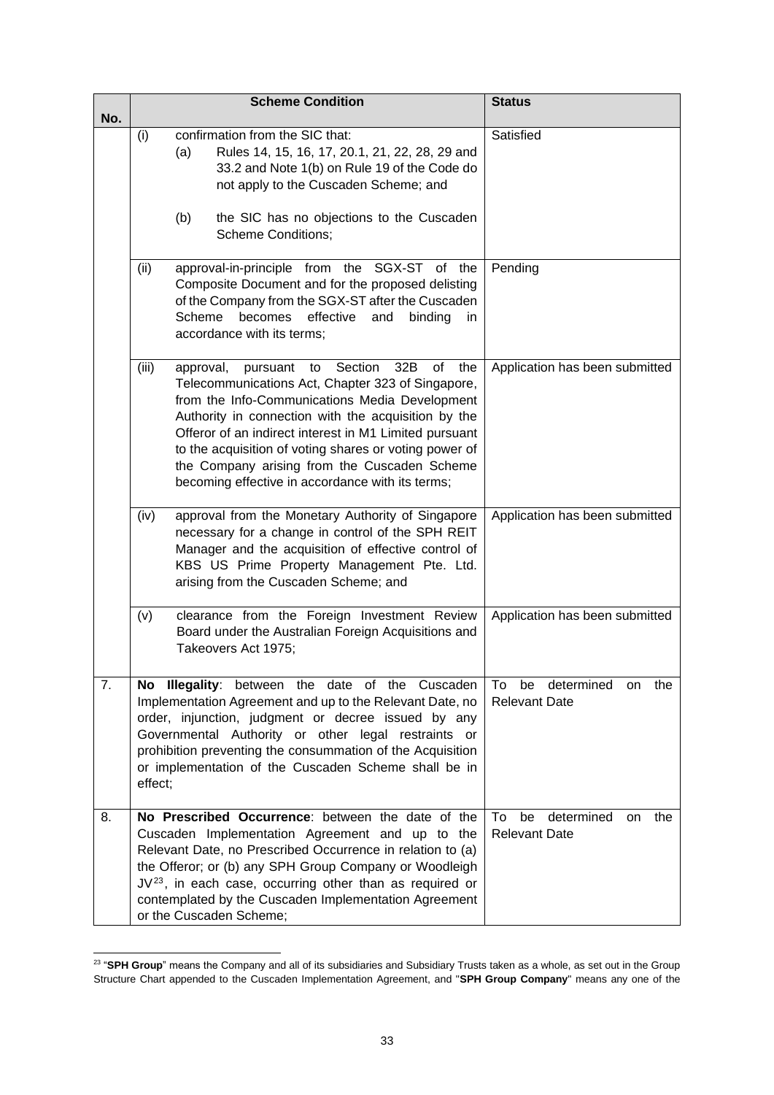| No. |         |           | <b>Scheme Condition</b>                                                                                                                                                                                                                                                                                                                                                                                                             | <b>Status</b>                                               |
|-----|---------|-----------|-------------------------------------------------------------------------------------------------------------------------------------------------------------------------------------------------------------------------------------------------------------------------------------------------------------------------------------------------------------------------------------------------------------------------------------|-------------------------------------------------------------|
|     | (i)     | (a)       | confirmation from the SIC that:<br>Rules 14, 15, 16, 17, 20.1, 21, 22, 28, 29 and<br>33.2 and Note 1(b) on Rule 19 of the Code do<br>not apply to the Cuscaden Scheme; and                                                                                                                                                                                                                                                          | Satisfied                                                   |
|     |         | (b)       | the SIC has no objections to the Cuscaden<br><b>Scheme Conditions;</b>                                                                                                                                                                                                                                                                                                                                                              |                                                             |
|     | (ii)    | Scheme    | approval-in-principle from the SGX-ST of the<br>Composite Document and for the proposed delisting<br>of the Company from the SGX-ST after the Cuscaden<br>becomes<br>effective<br>and<br>binding<br>in.<br>accordance with its terms;                                                                                                                                                                                               | Pending                                                     |
|     | (iii)   | approval, | Section<br>32B<br>of<br>the<br>pursuant<br>to<br>Telecommunications Act, Chapter 323 of Singapore,<br>from the Info-Communications Media Development<br>Authority in connection with the acquisition by the<br>Offeror of an indirect interest in M1 Limited pursuant<br>to the acquisition of voting shares or voting power of<br>the Company arising from the Cuscaden Scheme<br>becoming effective in accordance with its terms; | Application has been submitted                              |
|     | (iv)    |           | approval from the Monetary Authority of Singapore<br>necessary for a change in control of the SPH REIT<br>Manager and the acquisition of effective control of<br>KBS US Prime Property Management Pte. Ltd.<br>arising from the Cuscaden Scheme; and                                                                                                                                                                                | Application has been submitted                              |
|     | (v)     |           | clearance from the Foreign Investment Review<br>Board under the Australian Foreign Acquisitions and<br>Takeovers Act 1975;                                                                                                                                                                                                                                                                                                          | Application has been submitted                              |
| 7.  | effect; |           | No Illegality: between the date of the Cuscaden<br>Implementation Agreement and up to the Relevant Date, no<br>order, injunction, judgment or decree issued by any<br>Governmental Authority or other legal restraints or<br>prohibition preventing the consummation of the Acquisition<br>or implementation of the Cuscaden Scheme shall be in                                                                                     | be determined<br>To<br>the<br>on<br><b>Relevant Date</b>    |
| 8.  |         |           | No Prescribed Occurrence: between the date of the<br>Cuscaden Implementation Agreement and up to the<br>Relevant Date, no Prescribed Occurrence in relation to (a)<br>the Offeror; or (b) any SPH Group Company or Woodleigh<br>$JV^{23}$ , in each case, occurring other than as required or<br>contemplated by the Cuscaden Implementation Agreement<br>or the Cuscaden Scheme;                                                   | determined<br>To<br>be<br>the<br>on<br><b>Relevant Date</b> |

<sup>23</sup> "**SPH Group**" means the Company and all of its subsidiaries and Subsidiary Trusts taken as a whole, as set out in the Group Structure Chart appended to the Cuscaden Implementation Agreement, and "**SPH Group Company**" means any one of the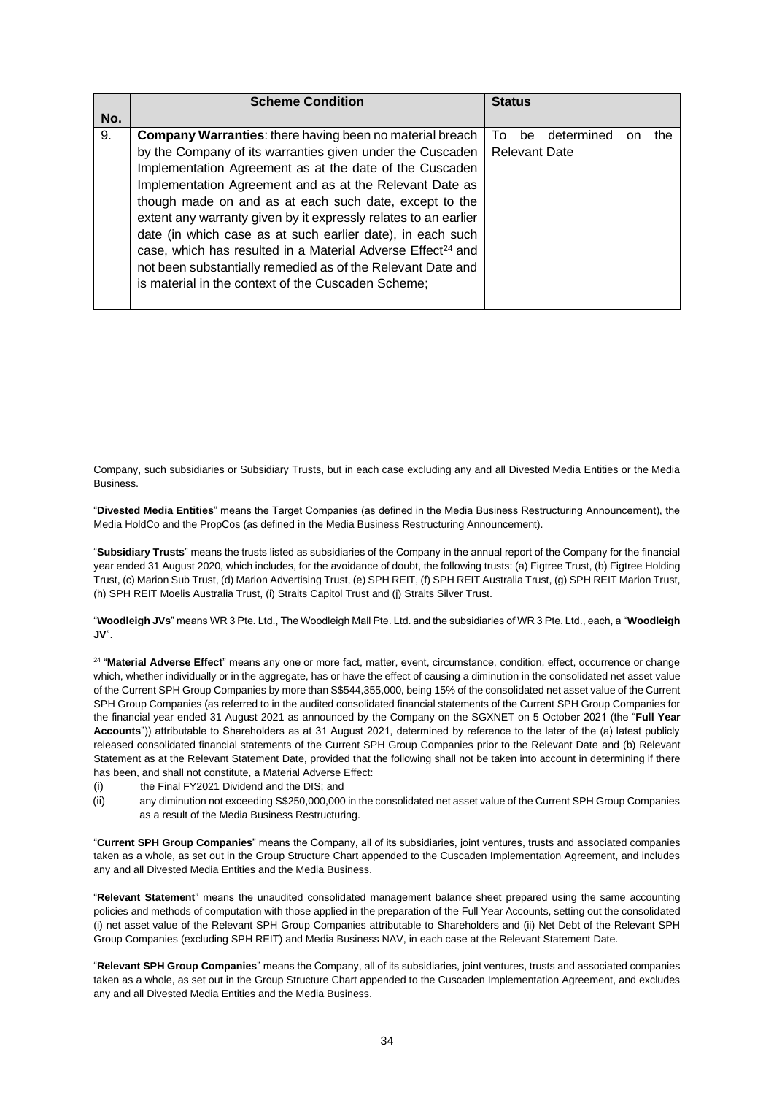|     | <b>Scheme Condition</b>                                                                                                                                                                                                                                                                                                                                                                                                                                                                                                                                                                 | <b>Status</b>                                               |
|-----|-----------------------------------------------------------------------------------------------------------------------------------------------------------------------------------------------------------------------------------------------------------------------------------------------------------------------------------------------------------------------------------------------------------------------------------------------------------------------------------------------------------------------------------------------------------------------------------------|-------------------------------------------------------------|
| No. |                                                                                                                                                                                                                                                                                                                                                                                                                                                                                                                                                                                         |                                                             |
| 9.  | <b>Company Warranties:</b> there having been no material breach<br>by the Company of its warranties given under the Cuscaden<br>Implementation Agreement as at the date of the Cuscaden<br>Implementation Agreement and as at the Relevant Date as<br>though made on and as at each such date, except to the<br>extent any warranty given by it expressly relates to an earlier<br>date (in which case as at such earlier date), in each such<br>case, which has resulted in a Material Adverse Effect <sup>24</sup> and<br>not been substantially remedied as of the Relevant Date and | determined<br>TΩ<br>be<br>the<br>or<br><b>Relevant Date</b> |
|     | is material in the context of the Cuscaden Scheme;                                                                                                                                                                                                                                                                                                                                                                                                                                                                                                                                      |                                                             |

Company, such subsidiaries or Subsidiary Trusts, but in each case excluding any and all Divested Media Entities or the Media Business.

"**Divested Media Entities**" means the Target Companies (as defined in the Media Business Restructuring Announcement), the Media HoldCo and the PropCos (as defined in the Media Business Restructuring Announcement).

"**Subsidiary Trusts**" means the trusts listed as subsidiaries of the Company in the annual report of the Company for the financial year ended 31 August 2020, which includes, for the avoidance of doubt, the following trusts: (a) Figtree Trust, (b) Figtree Holding Trust, (c) Marion Sub Trust, (d) Marion Advertising Trust, (e) SPH REIT, (f) SPH REIT Australia Trust, (g) SPH REIT Marion Trust, (h) SPH REIT Moelis Australia Trust, (i) Straits Capitol Trust and (j) Straits Silver Trust.

"**Woodleigh JVs**" means WR 3 Pte. Ltd., The Woodleigh Mall Pte. Ltd. and the subsidiaries of WR 3 Pte. Ltd., each, a "**Woodleigh JV**".

24 "**Material Adverse Effect**" means any one or more fact, matter, event, circumstance, condition, effect, occurrence or change which, whether individually or in the aggregate, has or have the effect of causing a diminution in the consolidated net asset value of the Current SPH Group Companies by more than S\$544,355,000, being 15% of the consolidated net asset value of the Current SPH Group Companies (as referred to in the audited consolidated financial statements of the Current SPH Group Companies for the financial year ended 31 August 2021 as announced by the Company on the SGXNET on 5 October 2021 (the "**Full Year Accounts**")) attributable to Shareholders as at 31 August 2021, determined by reference to the later of the (a) latest publicly released consolidated financial statements of the Current SPH Group Companies prior to the Relevant Date and (b) Relevant Statement as at the Relevant Statement Date, provided that the following shall not be taken into account in determining if there has been, and shall not constitute, a Material Adverse Effect:

- (i) the Final FY2021 Dividend and the DIS; and
- (ii) any diminution not exceeding S\$250,000,000 in the consolidated net asset value of the Current SPH Group Companies as a result of the Media Business Restructuring.

"**Current SPH Group Companies**" means the Company, all of its subsidiaries, joint ventures, trusts and associated companies taken as a whole, as set out in the Group Structure Chart appended to the Cuscaden Implementation Agreement, and includes any and all Divested Media Entities and the Media Business.

"**Relevant Statement**" means the unaudited consolidated management balance sheet prepared using the same accounting policies and methods of computation with those applied in the preparation of the Full Year Accounts, setting out the consolidated (i) net asset value of the Relevant SPH Group Companies attributable to Shareholders and (ii) Net Debt of the Relevant SPH Group Companies (excluding SPH REIT) and Media Business NAV, in each case at the Relevant Statement Date.

"**Relevant SPH Group Companies**" means the Company, all of its subsidiaries, joint ventures, trusts and associated companies taken as a whole, as set out in the Group Structure Chart appended to the Cuscaden Implementation Agreement, and excludes any and all Divested Media Entities and the Media Business.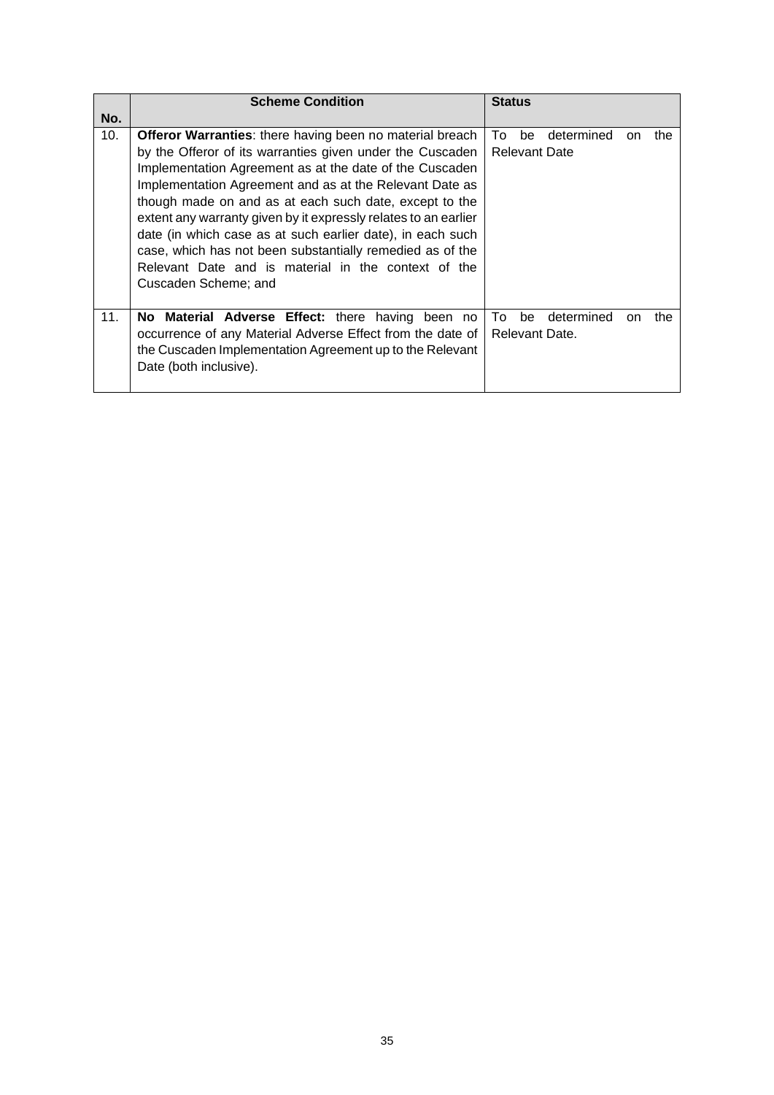|     | <b>Scheme Condition</b>                                                                                                                                                                                                                                                                                                                                                                                                                                                                                                                                                                   | <b>Status</b>                                                |
|-----|-------------------------------------------------------------------------------------------------------------------------------------------------------------------------------------------------------------------------------------------------------------------------------------------------------------------------------------------------------------------------------------------------------------------------------------------------------------------------------------------------------------------------------------------------------------------------------------------|--------------------------------------------------------------|
| No. |                                                                                                                                                                                                                                                                                                                                                                                                                                                                                                                                                                                           |                                                              |
| 10. | <b>Offeror Warranties:</b> there having been no material breach<br>by the Offeror of its warranties given under the Cuscaden<br>Implementation Agreement as at the date of the Cuscaden<br>Implementation Agreement and as at the Relevant Date as<br>though made on and as at each such date, except to the<br>extent any warranty given by it expressly relates to an earlier<br>date (in which case as at such earlier date), in each such<br>case, which has not been substantially remedied as of the<br>Relevant Date and is material in the context of the<br>Cuscaden Scheme; and | To:<br>determined<br>be<br>the<br>on<br><b>Relevant Date</b> |
| 11. | No Material Adverse Effect: there having been no<br>occurrence of any Material Adverse Effect from the date of<br>the Cuscaden Implementation Agreement up to the Relevant<br>Date (both inclusive).                                                                                                                                                                                                                                                                                                                                                                                      | determined<br>the<br>To<br>be<br>on<br>Relevant Date.        |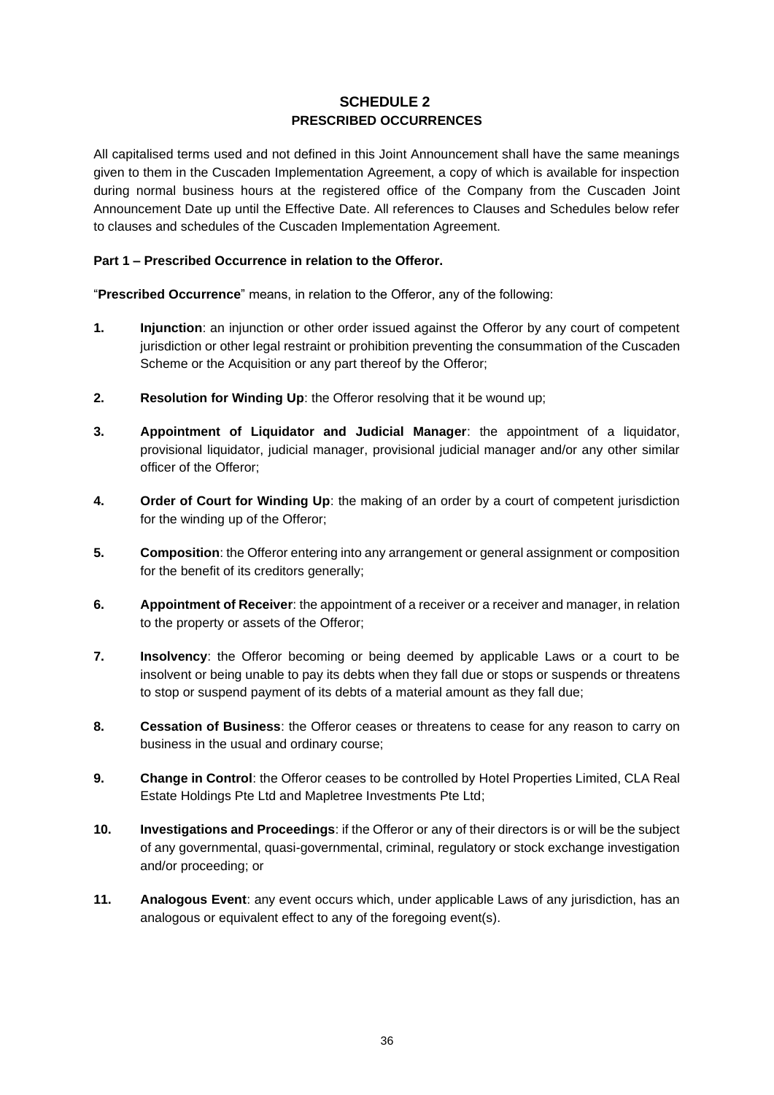## **SCHEDULE 2 PRESCRIBED OCCURRENCES**

All capitalised terms used and not defined in this Joint Announcement shall have the same meanings given to them in the Cuscaden Implementation Agreement, a copy of which is available for inspection during normal business hours at the registered office of the Company from the Cuscaden Joint Announcement Date up until the Effective Date. All references to Clauses and Schedules below refer to clauses and schedules of the Cuscaden Implementation Agreement.

## **Part 1 – Prescribed Occurrence in relation to the Offeror.**

"**Prescribed Occurrence**" means, in relation to the Offeror, any of the following:

- **1. Injunction**: an injunction or other order issued against the Offeror by any court of competent jurisdiction or other legal restraint or prohibition preventing the consummation of the Cuscaden Scheme or the Acquisition or any part thereof by the Offeror;
- **2. Resolution for Winding Up**: the Offeror resolving that it be wound up;
- **3. Appointment of Liquidator and Judicial Manager**: the appointment of a liquidator, provisional liquidator, judicial manager, provisional judicial manager and/or any other similar officer of the Offeror;
- **4. Order of Court for Winding Up**: the making of an order by a court of competent jurisdiction for the winding up of the Offeror;
- **5. Composition**: the Offeror entering into any arrangement or general assignment or composition for the benefit of its creditors generally;
- **6. Appointment of Receiver**: the appointment of a receiver or a receiver and manager, in relation to the property or assets of the Offeror;
- **7. Insolvency**: the Offeror becoming or being deemed by applicable Laws or a court to be insolvent or being unable to pay its debts when they fall due or stops or suspends or threatens to stop or suspend payment of its debts of a material amount as they fall due;
- **8. Cessation of Business**: the Offeror ceases or threatens to cease for any reason to carry on business in the usual and ordinary course;
- **9. Change in Control**: the Offeror ceases to be controlled by Hotel Properties Limited, CLA Real Estate Holdings Pte Ltd and Mapletree Investments Pte Ltd;
- **10. Investigations and Proceedings**: if the Offeror or any of their directors is or will be the subject of any governmental, quasi-governmental, criminal, regulatory or stock exchange investigation and/or proceeding; or
- **11. Analogous Event**: any event occurs which, under applicable Laws of any jurisdiction, has an analogous or equivalent effect to any of the foregoing event(s).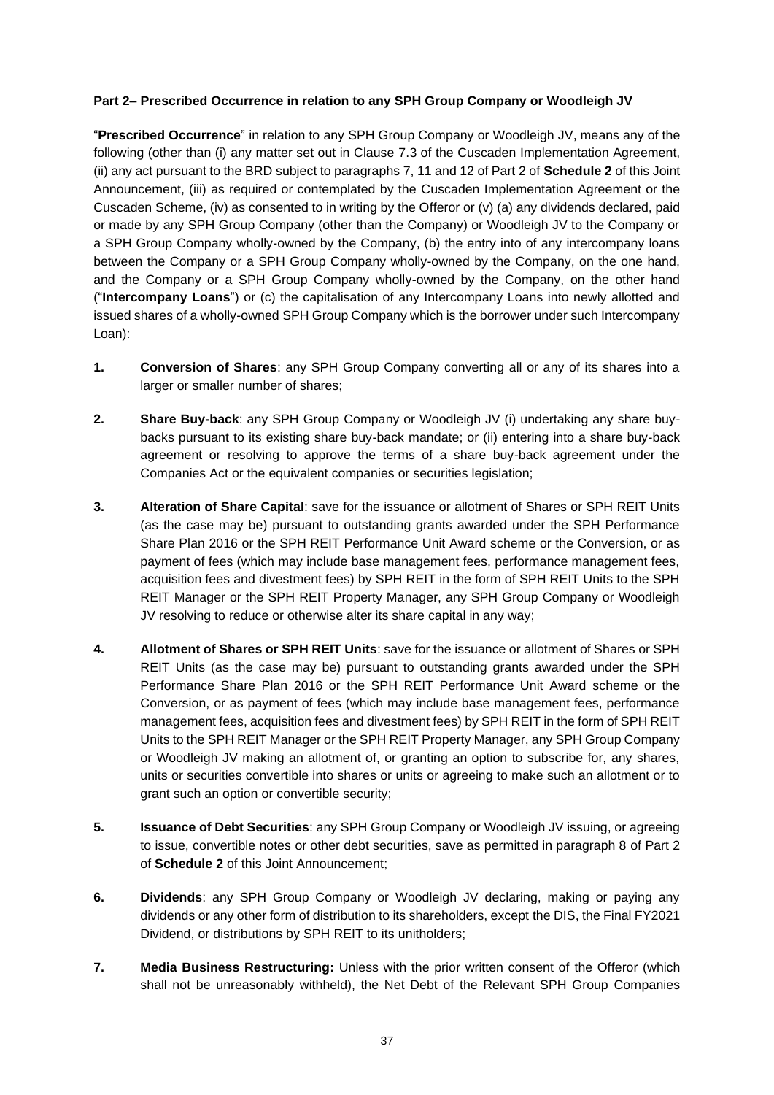## **Part 2– Prescribed Occurrence in relation to any SPH Group Company or Woodleigh JV**

"**Prescribed Occurrence**" in relation to any SPH Group Company or Woodleigh JV, means any of the following (other than (i) any matter set out in Clause 7.3 of the Cuscaden Implementation Agreement, (ii) any act pursuant to the BRD subject to paragraphs 7, 11 and 12 of Part 2 of **Schedule 2** of this Joint Announcement, (iii) as required or contemplated by the Cuscaden Implementation Agreement or the Cuscaden Scheme, (iv) as consented to in writing by the Offeror or (v) (a) any dividends declared, paid or made by any SPH Group Company (other than the Company) or Woodleigh JV to the Company or a SPH Group Company wholly-owned by the Company, (b) the entry into of any intercompany loans between the Company or a SPH Group Company wholly-owned by the Company, on the one hand, and the Company or a SPH Group Company wholly-owned by the Company, on the other hand ("**Intercompany Loans**") or (c) the capitalisation of any Intercompany Loans into newly allotted and issued shares of a wholly-owned SPH Group Company which is the borrower under such Intercompany Loan):

- **1. Conversion of Shares**: any SPH Group Company converting all or any of its shares into a larger or smaller number of shares;
- **2. Share Buy-back**: any SPH Group Company or Woodleigh JV (i) undertaking any share buybacks pursuant to its existing share buy-back mandate; or (ii) entering into a share buy-back agreement or resolving to approve the terms of a share buy-back agreement under the Companies Act or the equivalent companies or securities legislation;
- **3. Alteration of Share Capital**: save for the issuance or allotment of Shares or SPH REIT Units (as the case may be) pursuant to outstanding grants awarded under the SPH Performance Share Plan 2016 or the SPH REIT Performance Unit Award scheme or the Conversion, or as payment of fees (which may include base management fees, performance management fees, acquisition fees and divestment fees) by SPH REIT in the form of SPH REIT Units to the SPH REIT Manager or the SPH REIT Property Manager, any SPH Group Company or Woodleigh JV resolving to reduce or otherwise alter its share capital in any way;
- **4. Allotment of Shares or SPH REIT Units**: save for the issuance or allotment of Shares or SPH REIT Units (as the case may be) pursuant to outstanding grants awarded under the SPH Performance Share Plan 2016 or the SPH REIT Performance Unit Award scheme or the Conversion, or as payment of fees (which may include base management fees, performance management fees, acquisition fees and divestment fees) by SPH REIT in the form of SPH REIT Units to the SPH REIT Manager or the SPH REIT Property Manager, any SPH Group Company or Woodleigh JV making an allotment of, or granting an option to subscribe for, any shares, units or securities convertible into shares or units or agreeing to make such an allotment or to grant such an option or convertible security;
- **5. Issuance of Debt Securities**: any SPH Group Company or Woodleigh JV issuing, or agreeing to issue, convertible notes or other debt securities, save as permitted in paragraph 8 of Part 2 of **Schedule 2** of this Joint Announcement;
- **6. Dividends**: any SPH Group Company or Woodleigh JV declaring, making or paying any dividends or any other form of distribution to its shareholders, except the DIS, the Final FY2021 Dividend, or distributions by SPH REIT to its unitholders;
- **7. Media Business Restructuring:** Unless with the prior written consent of the Offeror (which shall not be unreasonably withheld), the Net Debt of the Relevant SPH Group Companies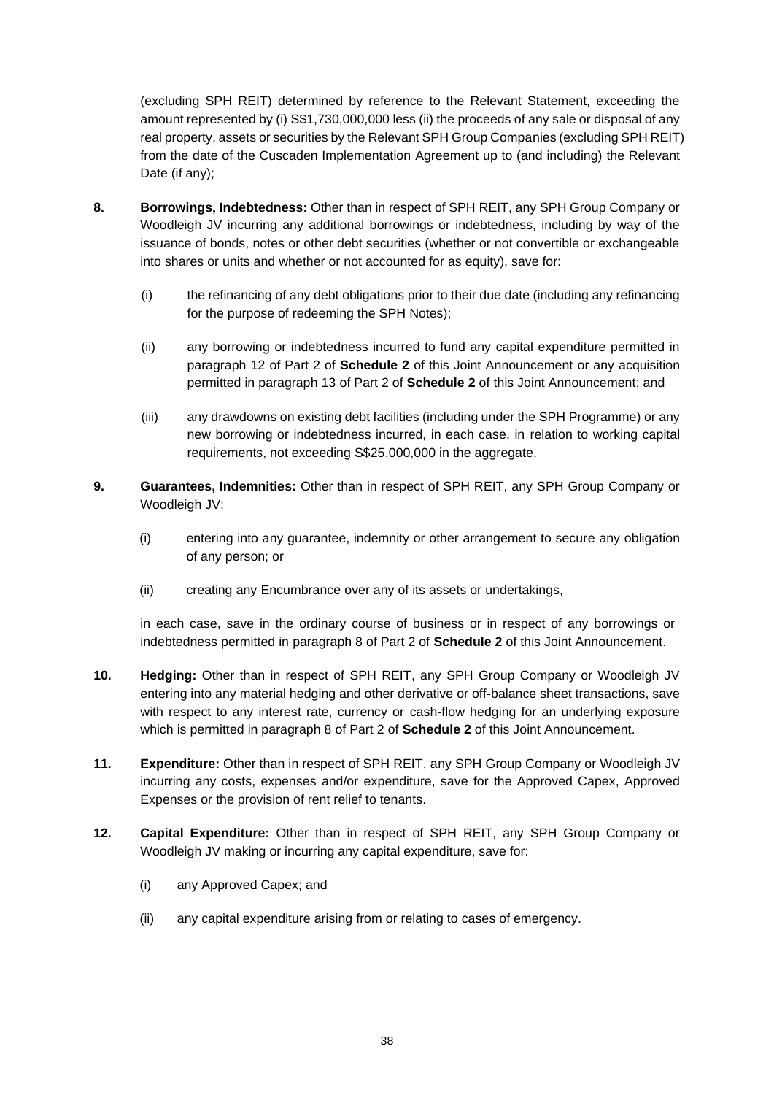(excluding SPH REIT) determined by reference to the Relevant Statement, exceeding the amount represented by (i) S\$1,730,000,000 less (ii) the proceeds of any sale or disposal of any real property, assets or securities by the Relevant SPH Group Companies (excluding SPH REIT) from the date of the Cuscaden Implementation Agreement up to (and including) the Relevant Date (if any);

- **8. Borrowings, Indebtedness:** Other than in respect of SPH REIT, any SPH Group Company or Woodleigh JV incurring any additional borrowings or indebtedness, including by way of the issuance of bonds, notes or other debt securities (whether or not convertible or exchangeable into shares or units and whether or not accounted for as equity), save for:
	- (i) the refinancing of any debt obligations prior to their due date (including any refinancing for the purpose of redeeming the SPH Notes);
	- (ii) any borrowing or indebtedness incurred to fund any capital expenditure permitted in paragraph 12 of Part 2 of **Schedule 2** of this Joint Announcement or any acquisition permitted in paragraph 13 of Part 2 of **Schedule 2** of this Joint Announcement; and
	- (iii) any drawdowns on existing debt facilities (including under the SPH Programme) or any new borrowing or indebtedness incurred, in each case, in relation to working capital requirements, not exceeding S\$25,000,000 in the aggregate.
- **9. Guarantees, Indemnities:** Other than in respect of SPH REIT, any SPH Group Company or Woodleigh JV:
	- (i) entering into any guarantee, indemnity or other arrangement to secure any obligation of any person; or
	- (ii) creating any Encumbrance over any of its assets or undertakings,

in each case, save in the ordinary course of business or in respect of any borrowings or indebtedness permitted in paragraph 8 of Part 2 of **Schedule 2** of this Joint Announcement.

- **10. Hedging:** Other than in respect of SPH REIT, any SPH Group Company or Woodleigh JV entering into any material hedging and other derivative or off-balance sheet transactions, save with respect to any interest rate, currency or cash-flow hedging for an underlying exposure which is permitted in paragraph 8 of Part 2 of **Schedule 2** of this Joint Announcement.
- **11. Expenditure:** Other than in respect of SPH REIT, any SPH Group Company or Woodleigh JV incurring any costs, expenses and/or expenditure, save for the Approved Capex, Approved Expenses or the provision of rent relief to tenants.
- **12. Capital Expenditure:** Other than in respect of SPH REIT, any SPH Group Company or Woodleigh JV making or incurring any capital expenditure, save for:
	- (i) any Approved Capex; and
	- (ii) any capital expenditure arising from or relating to cases of emergency.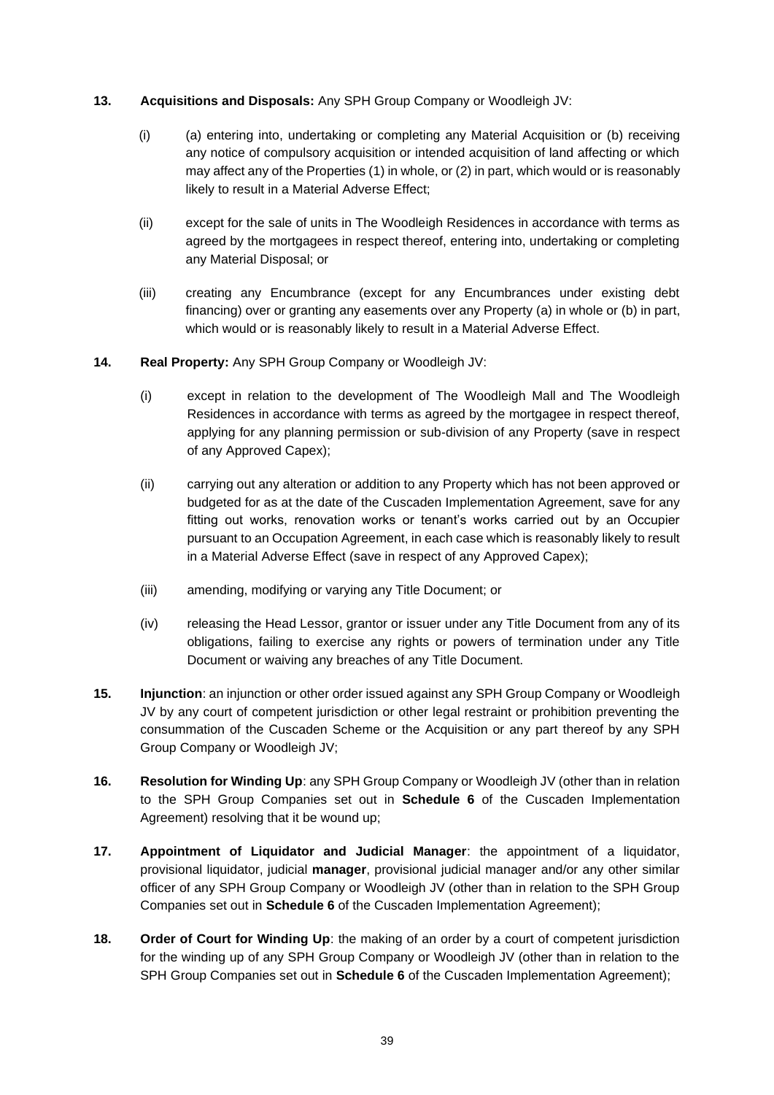### **13. Acquisitions and Disposals:** Any SPH Group Company or Woodleigh JV:

- (i) (a) entering into, undertaking or completing any Material Acquisition or (b) receiving any notice of compulsory acquisition or intended acquisition of land affecting or which may affect any of the Properties (1) in whole, or (2) in part, which would or is reasonably likely to result in a Material Adverse Effect;
- (ii) except for the sale of units in The Woodleigh Residences in accordance with terms as agreed by the mortgagees in respect thereof, entering into, undertaking or completing any Material Disposal; or
- (iii) creating any Encumbrance (except for any Encumbrances under existing debt financing) over or granting any easements over any Property (a) in whole or (b) in part, which would or is reasonably likely to result in a Material Adverse Effect.
- **14. Real Property:** Any SPH Group Company or Woodleigh JV:
	- (i) except in relation to the development of The Woodleigh Mall and The Woodleigh Residences in accordance with terms as agreed by the mortgagee in respect thereof, applying for any planning permission or sub-division of any Property (save in respect of any Approved Capex);
	- (ii) carrying out any alteration or addition to any Property which has not been approved or budgeted for as at the date of the Cuscaden Implementation Agreement, save for any fitting out works, renovation works or tenant's works carried out by an Occupier pursuant to an Occupation Agreement, in each case which is reasonably likely to result in a Material Adverse Effect (save in respect of any Approved Capex);
	- (iii) amending, modifying or varying any Title Document; or
	- (iv) releasing the Head Lessor, grantor or issuer under any Title Document from any of its obligations, failing to exercise any rights or powers of termination under any Title Document or waiving any breaches of any Title Document.
- **15. Injunction**: an injunction or other order issued against any SPH Group Company or Woodleigh JV by any court of competent jurisdiction or other legal restraint or prohibition preventing the consummation of the Cuscaden Scheme or the Acquisition or any part thereof by any SPH Group Company or Woodleigh JV;
- **16. Resolution for Winding Up**: any SPH Group Company or Woodleigh JV (other than in relation to the SPH Group Companies set out in **Schedule 6** of the Cuscaden Implementation Agreement) resolving that it be wound up;
- **17. Appointment of Liquidator and Judicial Manager**: the appointment of a liquidator, provisional liquidator, judicial **manager**, provisional judicial manager and/or any other similar officer of any SPH Group Company or Woodleigh JV (other than in relation to the SPH Group Companies set out in **Schedule 6** of the Cuscaden Implementation Agreement);
- **18. Order of Court for Winding Up**: the making of an order by a court of competent jurisdiction for the winding up of any SPH Group Company or Woodleigh JV (other than in relation to the SPH Group Companies set out in **Schedule 6** of the Cuscaden Implementation Agreement);